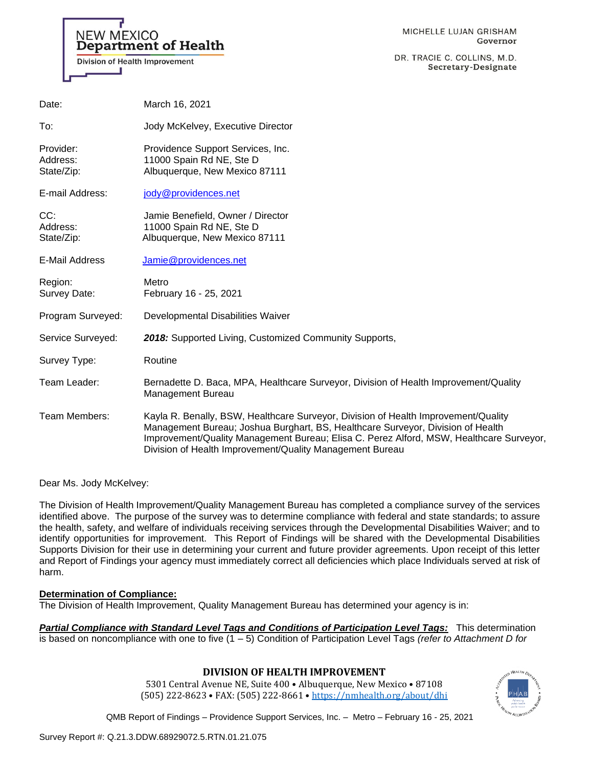# NEW MEXICO Department of Health

Division of Health Improvement

DR. TRACIE C. COLLINS, M.D. Secretary-Designate

| Date:                               | March 16, 2021                                                                                                                                                                                                                                                                                                               |
|-------------------------------------|------------------------------------------------------------------------------------------------------------------------------------------------------------------------------------------------------------------------------------------------------------------------------------------------------------------------------|
| To:                                 | Jody McKelvey, Executive Director                                                                                                                                                                                                                                                                                            |
| Provider:<br>Address:<br>State/Zip: | Providence Support Services, Inc.<br>11000 Spain Rd NE, Ste D<br>Albuquerque, New Mexico 87111                                                                                                                                                                                                                               |
| E-mail Address:                     | jody@providences.net                                                                                                                                                                                                                                                                                                         |
| CC:<br>Address:<br>State/Zip:       | Jamie Benefield, Owner / Director<br>11000 Spain Rd NE, Ste D<br>Albuquerque, New Mexico 87111                                                                                                                                                                                                                               |
| E-Mail Address                      | Jamie@providences.net                                                                                                                                                                                                                                                                                                        |
| Region:<br><b>Survey Date:</b>      | Metro<br>February 16 - 25, 2021                                                                                                                                                                                                                                                                                              |
| Program Surveyed:                   | Developmental Disabilities Waiver                                                                                                                                                                                                                                                                                            |
| Service Surveyed:                   | 2018: Supported Living, Customized Community Supports,                                                                                                                                                                                                                                                                       |
| Survey Type:                        | Routine                                                                                                                                                                                                                                                                                                                      |
| Team Leader:                        | Bernadette D. Baca, MPA, Healthcare Surveyor, Division of Health Improvement/Quality<br><b>Management Bureau</b>                                                                                                                                                                                                             |
| Team Members:                       | Kayla R. Benally, BSW, Healthcare Surveyor, Division of Health Improvement/Quality<br>Management Bureau; Joshua Burghart, BS, Healthcare Surveyor, Division of Health<br>Improvement/Quality Management Bureau; Elisa C. Perez Alford, MSW, Healthcare Surveyor,<br>Division of Health Improvement/Quality Management Bureau |

Dear Ms. Jody McKelvey:

The Division of Health Improvement/Quality Management Bureau has completed a compliance survey of the services identified above. The purpose of the survey was to determine compliance with federal and state standards; to assure the health, safety, and welfare of individuals receiving services through the Developmental Disabilities Waiver; and to identify opportunities for improvement. This Report of Findings will be shared with the Developmental Disabilities Supports Division for their use in determining your current and future provider agreements. Upon receipt of this letter and Report of Findings your agency must immediately correct all deficiencies which place Individuals served at risk of harm.

### **Determination of Compliance:**

The Division of Health Improvement, Quality Management Bureau has determined your agency is in:

*Partial Compliance with Standard Level Tags and Conditions of Participation Level Tags:* This determination is based on noncompliance with one to five (1 – 5) Condition of Participation Level Tags *(refer to Attachment D for* 

### **DIVISION OF HEALTH IMPROVEMENT**

5301 Central Avenue NE, Suite 400 • Albuquerque, New Mexico • 87108 (505) 222-8623 • FAX: (505) 222-8661 • <https://nmhealth.org/about/dhi>

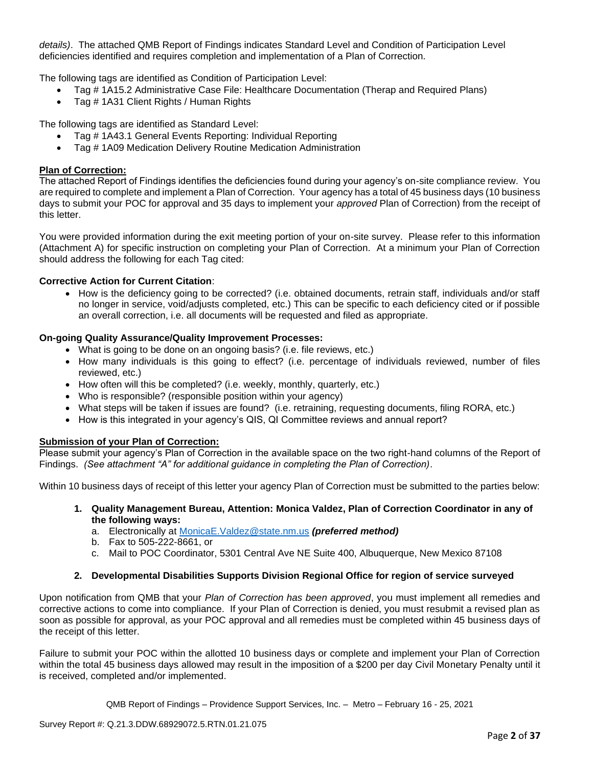*details)*. The attached QMB Report of Findings indicates Standard Level and Condition of Participation Level deficiencies identified and requires completion and implementation of a Plan of Correction.

The following tags are identified as Condition of Participation Level:

- Tag # 1A15.2 Administrative Case File: Healthcare Documentation (Therap and Required Plans)
- Tag # 1A31 Client Rights / Human Rights

The following tags are identified as Standard Level:

- Tag # 1A43.1 General Events Reporting: Individual Reporting
- Tag # 1A09 Medication Delivery Routine Medication Administration

### **Plan of Correction:**

The attached Report of Findings identifies the deficiencies found during your agency's on-site compliance review. You are required to complete and implement a Plan of Correction. Your agency has a total of 45 business days (10 business days to submit your POC for approval and 35 days to implement your *approved* Plan of Correction) from the receipt of this letter.

You were provided information during the exit meeting portion of your on-site survey. Please refer to this information (Attachment A) for specific instruction on completing your Plan of Correction. At a minimum your Plan of Correction should address the following for each Tag cited:

### **Corrective Action for Current Citation**:

• How is the deficiency going to be corrected? (i.e. obtained documents, retrain staff, individuals and/or staff no longer in service, void/adjusts completed, etc.) This can be specific to each deficiency cited or if possible an overall correction, i.e. all documents will be requested and filed as appropriate.

#### **On-going Quality Assurance/Quality Improvement Processes:**

- What is going to be done on an ongoing basis? (i.e. file reviews, etc.)
- How many individuals is this going to effect? (i.e. percentage of individuals reviewed, number of files reviewed, etc.)
- How often will this be completed? (i.e. weekly, monthly, quarterly, etc.)
- Who is responsible? (responsible position within your agency)
- What steps will be taken if issues are found? (i.e. retraining, requesting documents, filing RORA, etc.)
- How is this integrated in your agency's QIS, QI Committee reviews and annual report?

#### **Submission of your Plan of Correction:**

Please submit your agency's Plan of Correction in the available space on the two right-hand columns of the Report of Findings. *(See attachment "A" for additional guidance in completing the Plan of Correction)*.

Within 10 business days of receipt of this letter your agency Plan of Correction must be submitted to the parties below:

- **1. Quality Management Bureau, Attention: Monica Valdez, Plan of Correction Coordinator in any of the following ways:**
	- a. Electronically at [MonicaE.Valdez@state.nm.us](mailto:MonicaE.Valdez@state.nm.us) *(preferred method)*
	- b. Fax to 505-222-8661, or
	- c. Mail to POC Coordinator, 5301 Central Ave NE Suite 400, Albuquerque, New Mexico 87108

#### **2. Developmental Disabilities Supports Division Regional Office for region of service surveyed**

Upon notification from QMB that your *Plan of Correction has been approved*, you must implement all remedies and corrective actions to come into compliance. If your Plan of Correction is denied, you must resubmit a revised plan as soon as possible for approval, as your POC approval and all remedies must be completed within 45 business days of the receipt of this letter.

Failure to submit your POC within the allotted 10 business days or complete and implement your Plan of Correction within the total 45 business days allowed may result in the imposition of a \$200 per day Civil Monetary Penalty until it is received, completed and/or implemented.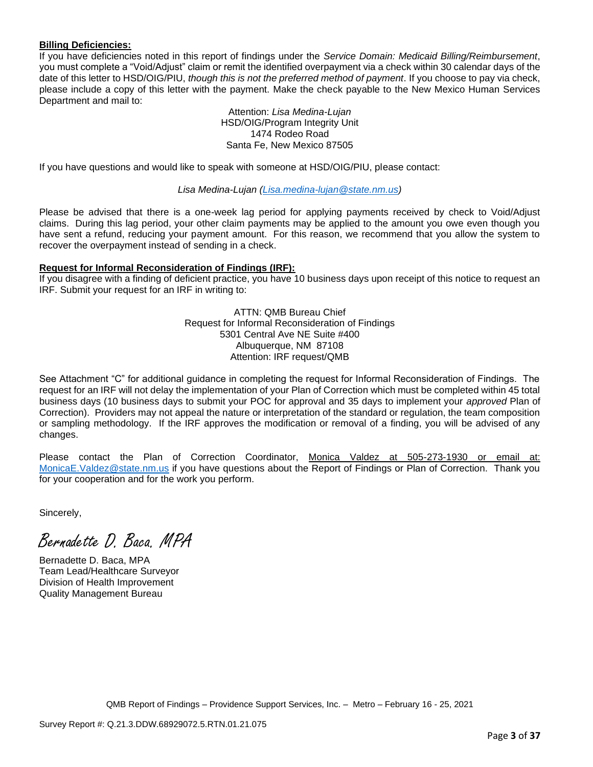### **Billing Deficiencies:**

If you have deficiencies noted in this report of findings under the *Service Domain: Medicaid Billing/Reimbursement*, you must complete a "Void/Adjust" claim or remit the identified overpayment via a check within 30 calendar days of the date of this letter to HSD/OIG/PIU, *though this is not the preferred method of payment*. If you choose to pay via check, please include a copy of this letter with the payment. Make the check payable to the New Mexico Human Services Department and mail to:

> Attention: *Lisa Medina-Lujan* HSD/OIG/Program Integrity Unit 1474 Rodeo Road Santa Fe, New Mexico 87505

If you have questions and would like to speak with someone at HSD/OIG/PIU, please contact:

*Lisa Medina-Lujan [\(Lisa.medina-lujan@state.nm.us\)](mailto:Lisa.medina-lujan@state.nm.us)*

Please be advised that there is a one-week lag period for applying payments received by check to Void/Adjust claims. During this lag period, your other claim payments may be applied to the amount you owe even though you have sent a refund, reducing your payment amount. For this reason, we recommend that you allow the system to recover the overpayment instead of sending in a check.

### **Request for Informal Reconsideration of Findings (IRF):**

If you disagree with a finding of deficient practice, you have 10 business days upon receipt of this notice to request an IRF. Submit your request for an IRF in writing to:

> ATTN: QMB Bureau Chief Request for Informal Reconsideration of Findings 5301 Central Ave NE Suite #400 Albuquerque, NM 87108 Attention: IRF request/QMB

See Attachment "C" for additional guidance in completing the request for Informal Reconsideration of Findings. The request for an IRF will not delay the implementation of your Plan of Correction which must be completed within 45 total business days (10 business days to submit your POC for approval and 35 days to implement your *approved* Plan of Correction). Providers may not appeal the nature or interpretation of the standard or regulation, the team composition or sampling methodology. If the IRF approves the modification or removal of a finding, you will be advised of any changes.

Please contact the Plan of Correction Coordinator, Monica Valdez at 505-273-1930 or email at: [MonicaE.Valdez@state.nm.us](mailto:MonicaE.Valdez@state.nm.us) if you have questions about the Report of Findings or Plan of Correction. Thank you for your cooperation and for the work you perform.

Sincerely,

Bernadette D. Baca. MPA

Bernadette D. Baca, MPA Team Lead/Healthcare Surveyor Division of Health Improvement Quality Management Bureau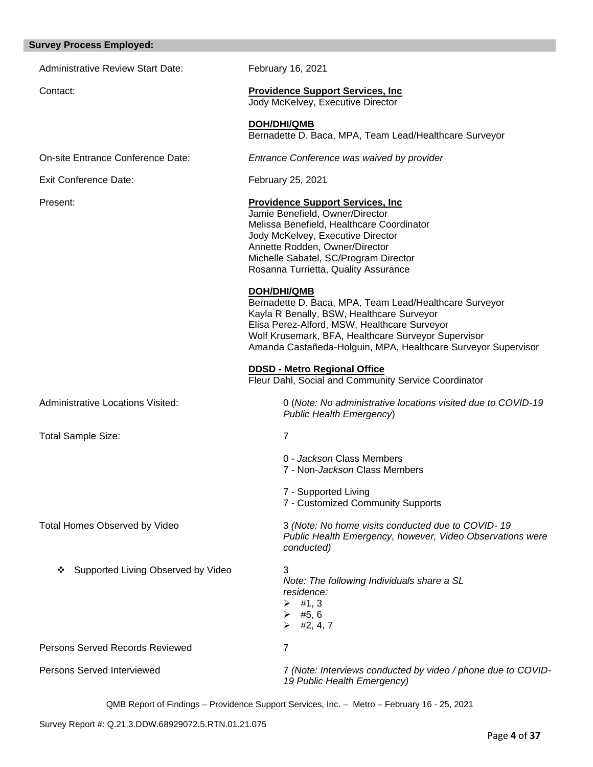### **Survey Process Employed:**

| <b>Administrative Review Start Date:</b> | February 16, 2021                                                                                                                                                                                                                                                                          |
|------------------------------------------|--------------------------------------------------------------------------------------------------------------------------------------------------------------------------------------------------------------------------------------------------------------------------------------------|
| Contact:                                 | <b>Providence Support Services, Inc.</b><br>Jody McKelvey, Executive Director                                                                                                                                                                                                              |
|                                          | <b>DOH/DHI/QMB</b><br>Bernadette D. Baca, MPA, Team Lead/Healthcare Surveyor                                                                                                                                                                                                               |
| On-site Entrance Conference Date:        | Entrance Conference was waived by provider                                                                                                                                                                                                                                                 |
| <b>Exit Conference Date:</b>             | February 25, 2021                                                                                                                                                                                                                                                                          |
| Present:                                 | <b>Providence Support Services, Inc.</b><br>Jamie Benefield, Owner/Director<br>Melissa Benefield, Healthcare Coordinator<br>Jody McKelvey, Executive Director<br>Annette Rodden, Owner/Director<br>Michelle Sabatel, SC/Program Director<br>Rosanna Turrietta, Quality Assurance           |
|                                          | DOH/DHI/QMB<br>Bernadette D. Baca, MPA, Team Lead/Healthcare Surveyor<br>Kayla R Benally, BSW, Healthcare Surveyor<br>Elisa Perez-Alford, MSW, Healthcare Surveyor<br>Wolf Krusemark, BFA, Healthcare Surveyor Supervisor<br>Amanda Castañeda-Holguin, MPA, Healthcare Surveyor Supervisor |
|                                          | <b>DDSD - Metro Regional Office</b><br>Fleur Dahl, Social and Community Service Coordinator                                                                                                                                                                                                |
| Administrative Locations Visited:        | 0 (Note: No administrative locations visited due to COVID-19<br>Public Health Emergency)                                                                                                                                                                                                   |
| Total Sample Size:                       | $\overline{7}$                                                                                                                                                                                                                                                                             |
|                                          | 0 - Jackson Class Members<br>7 - Non-Jackson Class Members                                                                                                                                                                                                                                 |
|                                          | 7 - Supported Living<br>7 - Customized Community Supports                                                                                                                                                                                                                                  |
| Total Homes Observed by Video            | 3 (Note: No home visits conducted due to COVID-19<br>Public Health Emergency, however, Video Observations were<br>conducted)                                                                                                                                                               |
| Supported Living Observed by Video<br>❖  | 3<br>Note: The following Individuals share a SL<br>residence:<br>$\triangleright$ #1,3<br>$\triangleright$ #5,6<br>#2, 4, 7<br>➤                                                                                                                                                           |
| Persons Served Records Reviewed          | $\overline{7}$                                                                                                                                                                                                                                                                             |
| Persons Served Interviewed               | 7 (Note: Interviews conducted by video / phone due to COVID-<br>19 Public Health Emergency)                                                                                                                                                                                                |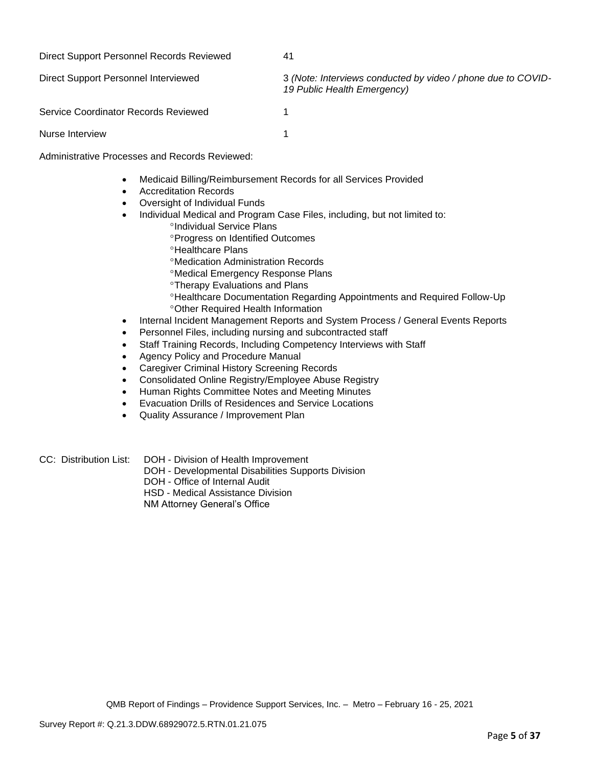| Direct Support Personnel Records Reviewed | 41 |
|-------------------------------------------|----|
|-------------------------------------------|----|

Direct Support Personnel Interviewed 3 *(Note: Interviews conducted by video / phone due to COVID-19 Public Health Emergency)*

Service Coordinator Records Reviewed 1

Nurse Interview 1

Administrative Processes and Records Reviewed:

- Medicaid Billing/Reimbursement Records for all Services Provided
- Accreditation Records
- Oversight of Individual Funds
- Individual Medical and Program Case Files, including, but not limited to:
	- <sup>o</sup>Individual Service Plans
	- Progress on Identified Outcomes
	- **<sup>o</sup>Healthcare Plans**
	- Medication Administration Records
	- Medical Emergency Response Plans
	- **Therapy Evaluations and Plans**
	- Healthcare Documentation Regarding Appointments and Required Follow-Up Other Required Health Information
- Internal Incident Management Reports and System Process / General Events Reports
- Personnel Files, including nursing and subcontracted staff
- Staff Training Records, Including Competency Interviews with Staff
- Agency Policy and Procedure Manual
- Caregiver Criminal History Screening Records
- Consolidated Online Registry/Employee Abuse Registry
- Human Rights Committee Notes and Meeting Minutes
- Evacuation Drills of Residences and Service Locations
- Quality Assurance / Improvement Plan
- CC: Distribution List: DOH Division of Health Improvement
	- DOH Developmental Disabilities Supports Division
	- DOH Office of Internal Audit
	- HSD Medical Assistance Division

NM Attorney General's Office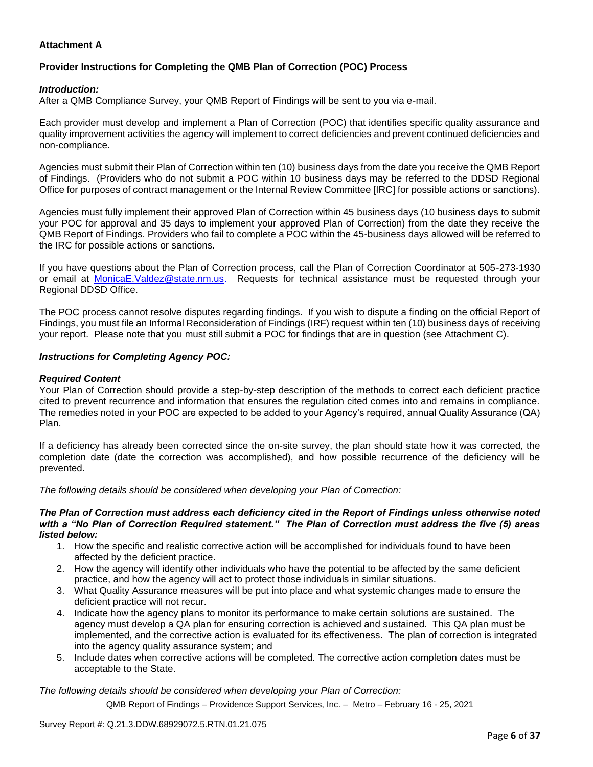### **Attachment A**

# **Provider Instructions for Completing the QMB Plan of Correction (POC) Process**

### *Introduction:*

After a QMB Compliance Survey, your QMB Report of Findings will be sent to you via e-mail.

Each provider must develop and implement a Plan of Correction (POC) that identifies specific quality assurance and quality improvement activities the agency will implement to correct deficiencies and prevent continued deficiencies and non-compliance.

Agencies must submit their Plan of Correction within ten (10) business days from the date you receive the QMB Report of Findings. (Providers who do not submit a POC within 10 business days may be referred to the DDSD Regional Office for purposes of contract management or the Internal Review Committee [IRC] for possible actions or sanctions).

Agencies must fully implement their approved Plan of Correction within 45 business days (10 business days to submit your POC for approval and 35 days to implement your approved Plan of Correction) from the date they receive the QMB Report of Findings. Providers who fail to complete a POC within the 45-business days allowed will be referred to the IRC for possible actions or sanctions.

If you have questions about the Plan of Correction process, call the Plan of Correction Coordinator at 505-273-1930 or email at [MonicaE.Valdez@state.nm.us.](mailto:MonicaE.Valdez@state.nm.us) Requests for technical assistance must be requested through your Regional DDSD Office.

The POC process cannot resolve disputes regarding findings. If you wish to dispute a finding on the official Report of Findings, you must file an Informal Reconsideration of Findings (IRF) request within ten (10) business days of receiving your report. Please note that you must still submit a POC for findings that are in question (see Attachment C).

#### *Instructions for Completing Agency POC:*

### *Required Content*

Your Plan of Correction should provide a step-by-step description of the methods to correct each deficient practice cited to prevent recurrence and information that ensures the regulation cited comes into and remains in compliance. The remedies noted in your POC are expected to be added to your Agency's required, annual Quality Assurance (QA) Plan.

If a deficiency has already been corrected since the on-site survey, the plan should state how it was corrected, the completion date (date the correction was accomplished), and how possible recurrence of the deficiency will be prevented.

*The following details should be considered when developing your Plan of Correction:*

#### *The Plan of Correction must address each deficiency cited in the Report of Findings unless otherwise noted with a "No Plan of Correction Required statement." The Plan of Correction must address the five (5) areas listed below:*

- 1. How the specific and realistic corrective action will be accomplished for individuals found to have been affected by the deficient practice.
- 2. How the agency will identify other individuals who have the potential to be affected by the same deficient practice, and how the agency will act to protect those individuals in similar situations.
- 3. What Quality Assurance measures will be put into place and what systemic changes made to ensure the deficient practice will not recur.
- 4. Indicate how the agency plans to monitor its performance to make certain solutions are sustained. The agency must develop a QA plan for ensuring correction is achieved and sustained. This QA plan must be implemented, and the corrective action is evaluated for its effectiveness. The plan of correction is integrated into the agency quality assurance system; and
- 5. Include dates when corrective actions will be completed. The corrective action completion dates must be acceptable to the State.

*The following details should be considered when developing your Plan of Correction:*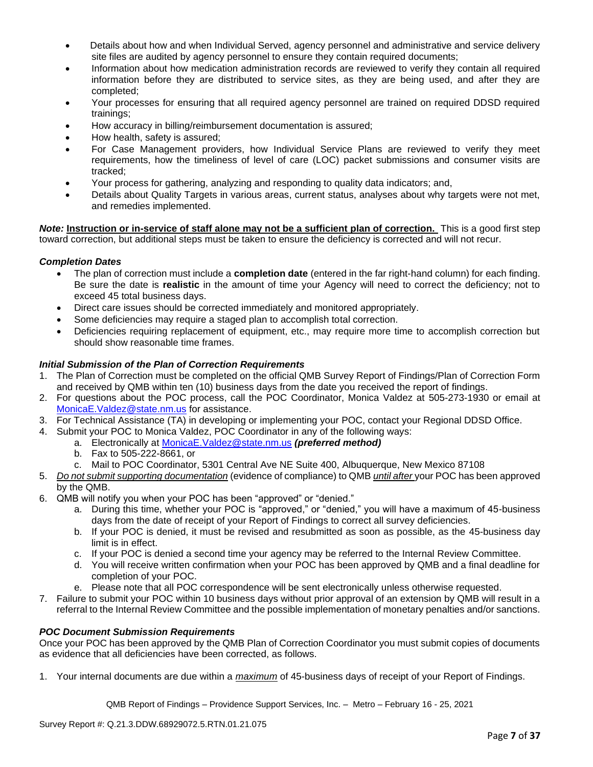- Details about how and when Individual Served, agency personnel and administrative and service delivery site files are audited by agency personnel to ensure they contain required documents;
- Information about how medication administration records are reviewed to verify they contain all required information before they are distributed to service sites, as they are being used, and after they are completed;
- Your processes for ensuring that all required agency personnel are trained on required DDSD required trainings;
- How accuracy in billing/reimbursement documentation is assured;
- How health, safety is assured;
- For Case Management providers, how Individual Service Plans are reviewed to verify they meet requirements, how the timeliness of level of care (LOC) packet submissions and consumer visits are tracked;
- Your process for gathering, analyzing and responding to quality data indicators; and,
- Details about Quality Targets in various areas, current status, analyses about why targets were not met, and remedies implemented.

*Note:* **Instruction or in-service of staff alone may not be a sufficient plan of correction.** This is a good first step toward correction, but additional steps must be taken to ensure the deficiency is corrected and will not recur.

### *Completion Dates*

- The plan of correction must include a **completion date** (entered in the far right-hand column) for each finding. Be sure the date is **realistic** in the amount of time your Agency will need to correct the deficiency; not to exceed 45 total business days.
- Direct care issues should be corrected immediately and monitored appropriately.
- Some deficiencies may require a staged plan to accomplish total correction.
- Deficiencies requiring replacement of equipment, etc., may require more time to accomplish correction but should show reasonable time frames.

### *Initial Submission of the Plan of Correction Requirements*

- 1. The Plan of Correction must be completed on the official QMB Survey Report of Findings/Plan of Correction Form and received by QMB within ten (10) business days from the date you received the report of findings.
- 2. For questions about the POC process, call the POC Coordinator, Monica Valdez at 505-273-1930 or email at [MonicaE.Valdez@state.nm.us](mailto:MonicaE.Valdez@state.nm.us) for assistance.
- 3. For Technical Assistance (TA) in developing or implementing your POC, contact your Regional DDSD Office.
- 4. Submit your POC to Monica Valdez, POC Coordinator in any of the following ways:
	- a. Electronically at [MonicaE.Valdez@state.nm.us](mailto:MonicaE.Valdez@state.nm.us) *(preferred method)*
		- b. Fax to 505-222-8661, or
		- c. Mail to POC Coordinator, 5301 Central Ave NE Suite 400, Albuquerque, New Mexico 87108
- 5. *Do not submit supporting documentation* (evidence of compliance) to QMB *until after* your POC has been approved by the QMB.
- 6. QMB will notify you when your POC has been "approved" or "denied."
	- a. During this time, whether your POC is "approved," or "denied," you will have a maximum of 45-business days from the date of receipt of your Report of Findings to correct all survey deficiencies.
	- b. If your POC is denied, it must be revised and resubmitted as soon as possible, as the 45-business day limit is in effect.
	- c. If your POC is denied a second time your agency may be referred to the Internal Review Committee.
	- d. You will receive written confirmation when your POC has been approved by QMB and a final deadline for completion of your POC.
	- e. Please note that all POC correspondence will be sent electronically unless otherwise requested.
- 7. Failure to submit your POC within 10 business days without prior approval of an extension by QMB will result in a referral to the Internal Review Committee and the possible implementation of monetary penalties and/or sanctions.

#### *POC Document Submission Requirements*

Once your POC has been approved by the QMB Plan of Correction Coordinator you must submit copies of documents as evidence that all deficiencies have been corrected, as follows.

1. Your internal documents are due within a *maximum* of 45-business days of receipt of your Report of Findings.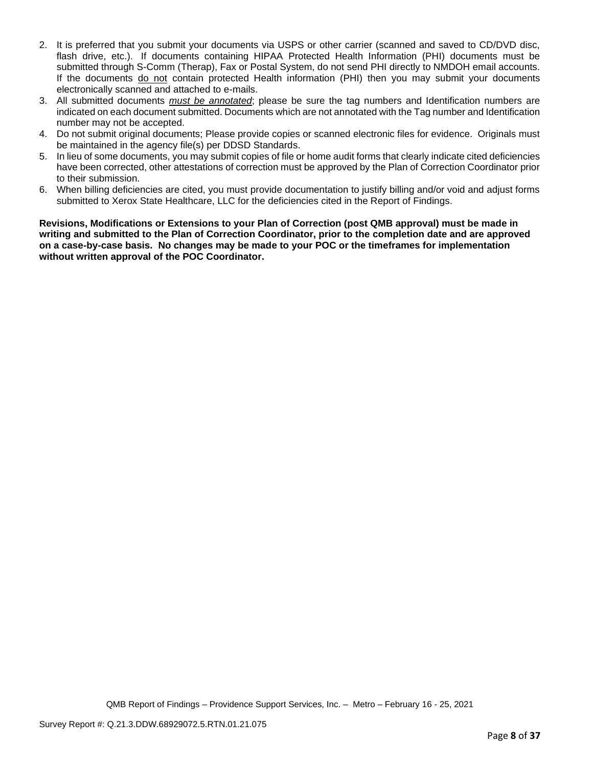- 2. It is preferred that you submit your documents via USPS or other carrier (scanned and saved to CD/DVD disc, flash drive, etc.). If documents containing HIPAA Protected Health Information (PHI) documents must be submitted through S-Comm (Therap), Fax or Postal System, do not send PHI directly to NMDOH email accounts. If the documents do not contain protected Health information (PHI) then you may submit your documents electronically scanned and attached to e-mails.
- 3. All submitted documents *must be annotated*; please be sure the tag numbers and Identification numbers are indicated on each document submitted. Documents which are not annotated with the Tag number and Identification number may not be accepted.
- 4. Do not submit original documents; Please provide copies or scanned electronic files for evidence. Originals must be maintained in the agency file(s) per DDSD Standards.
- 5. In lieu of some documents, you may submit copies of file or home audit forms that clearly indicate cited deficiencies have been corrected, other attestations of correction must be approved by the Plan of Correction Coordinator prior to their submission.
- 6. When billing deficiencies are cited, you must provide documentation to justify billing and/or void and adjust forms submitted to Xerox State Healthcare, LLC for the deficiencies cited in the Report of Findings.

**Revisions, Modifications or Extensions to your Plan of Correction (post QMB approval) must be made in writing and submitted to the Plan of Correction Coordinator, prior to the completion date and are approved on a case-by-case basis. No changes may be made to your POC or the timeframes for implementation without written approval of the POC Coordinator.**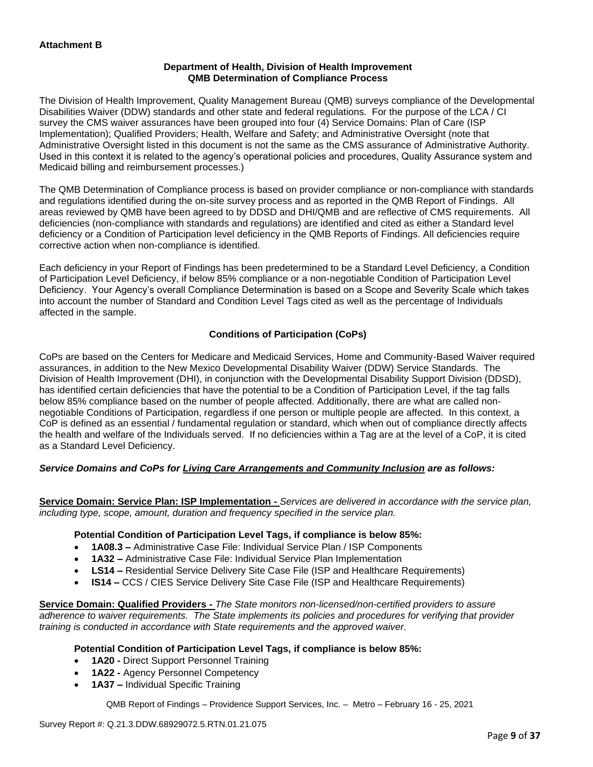### **Department of Health, Division of Health Improvement QMB Determination of Compliance Process**

The Division of Health Improvement, Quality Management Bureau (QMB) surveys compliance of the Developmental Disabilities Waiver (DDW) standards and other state and federal regulations. For the purpose of the LCA / CI survey the CMS waiver assurances have been grouped into four (4) Service Domains: Plan of Care (ISP Implementation); Qualified Providers; Health, Welfare and Safety; and Administrative Oversight (note that Administrative Oversight listed in this document is not the same as the CMS assurance of Administrative Authority. Used in this context it is related to the agency's operational policies and procedures, Quality Assurance system and Medicaid billing and reimbursement processes.)

The QMB Determination of Compliance process is based on provider compliance or non-compliance with standards and regulations identified during the on-site survey process and as reported in the QMB Report of Findings. All areas reviewed by QMB have been agreed to by DDSD and DHI/QMB and are reflective of CMS requirements. All deficiencies (non-compliance with standards and regulations) are identified and cited as either a Standard level deficiency or a Condition of Participation level deficiency in the QMB Reports of Findings. All deficiencies require corrective action when non-compliance is identified.

Each deficiency in your Report of Findings has been predetermined to be a Standard Level Deficiency, a Condition of Participation Level Deficiency, if below 85% compliance or a non-negotiable Condition of Participation Level Deficiency. Your Agency's overall Compliance Determination is based on a Scope and Severity Scale which takes into account the number of Standard and Condition Level Tags cited as well as the percentage of Individuals affected in the sample.

### **Conditions of Participation (CoPs)**

CoPs are based on the Centers for Medicare and Medicaid Services, Home and Community-Based Waiver required assurances, in addition to the New Mexico Developmental Disability Waiver (DDW) Service Standards. The Division of Health Improvement (DHI), in conjunction with the Developmental Disability Support Division (DDSD), has identified certain deficiencies that have the potential to be a Condition of Participation Level, if the tag falls below 85% compliance based on the number of people affected. Additionally, there are what are called nonnegotiable Conditions of Participation, regardless if one person or multiple people are affected. In this context, a CoP is defined as an essential / fundamental regulation or standard, which when out of compliance directly affects the health and welfare of the Individuals served. If no deficiencies within a Tag are at the level of a CoP, it is cited as a Standard Level Deficiency.

### *Service Domains and CoPs for Living Care Arrangements and Community Inclusion are as follows:*

**Service Domain: Service Plan: ISP Implementation -** *Services are delivered in accordance with the service plan, including type, scope, amount, duration and frequency specified in the service plan.*

#### **Potential Condition of Participation Level Tags, if compliance is below 85%:**

- **1A08.3 –** Administrative Case File: Individual Service Plan / ISP Components
- **1A32 –** Administrative Case File: Individual Service Plan Implementation
- **LS14 –** Residential Service Delivery Site Case File (ISP and Healthcare Requirements)
- **IS14 –** CCS / CIES Service Delivery Site Case File (ISP and Healthcare Requirements)

**Service Domain: Qualified Providers -** *The State monitors non-licensed/non-certified providers to assure adherence to waiver requirements. The State implements its policies and procedures for verifying that provider training is conducted in accordance with State requirements and the approved waiver.*

#### **Potential Condition of Participation Level Tags, if compliance is below 85%:**

- **1A20 -** Direct Support Personnel Training
- **1A22 -** Agency Personnel Competency
- **1A37 –** Individual Specific Training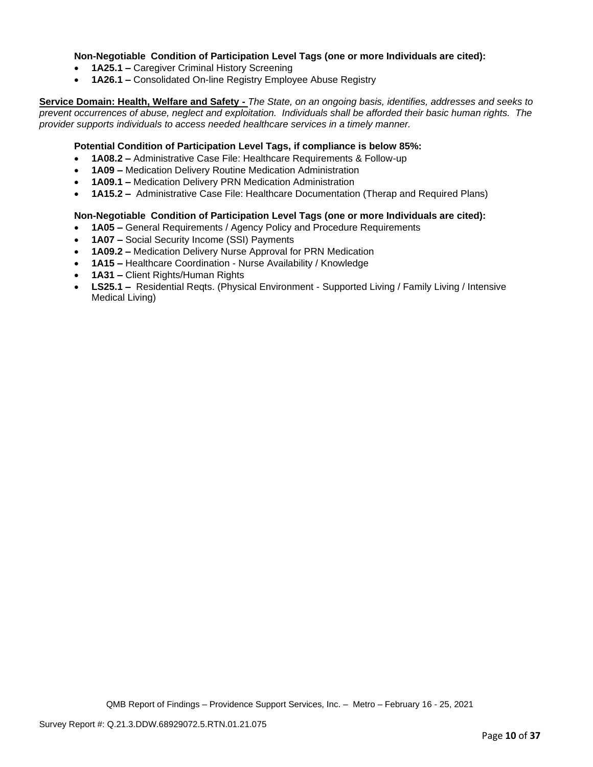### **Non-Negotiable Condition of Participation Level Tags (one or more Individuals are cited):**

- **1A25.1 –** Caregiver Criminal History Screening
- **1A26.1 –** Consolidated On-line Registry Employee Abuse Registry

**Service Domain: Health, Welfare and Safety -** *The State, on an ongoing basis, identifies, addresses and seeks to prevent occurrences of abuse, neglect and exploitation. Individuals shall be afforded their basic human rights. The provider supports individuals to access needed healthcare services in a timely manner.*

### **Potential Condition of Participation Level Tags, if compliance is below 85%:**

- **1A08.2 –** Administrative Case File: Healthcare Requirements & Follow-up
- **1A09 –** Medication Delivery Routine Medication Administration
- **1A09.1 –** Medication Delivery PRN Medication Administration
- **1A15.2 –** Administrative Case File: Healthcare Documentation (Therap and Required Plans)

#### **Non-Negotiable Condition of Participation Level Tags (one or more Individuals are cited):**

- **1A05 –** General Requirements / Agency Policy and Procedure Requirements
- **1A07 –** Social Security Income (SSI) Payments
- **1A09.2 –** Medication Delivery Nurse Approval for PRN Medication
- **1A15 –** Healthcare Coordination Nurse Availability / Knowledge
- **1A31 –** Client Rights/Human Rights
- **LS25.1 –** Residential Reqts. (Physical Environment Supported Living / Family Living / Intensive Medical Living)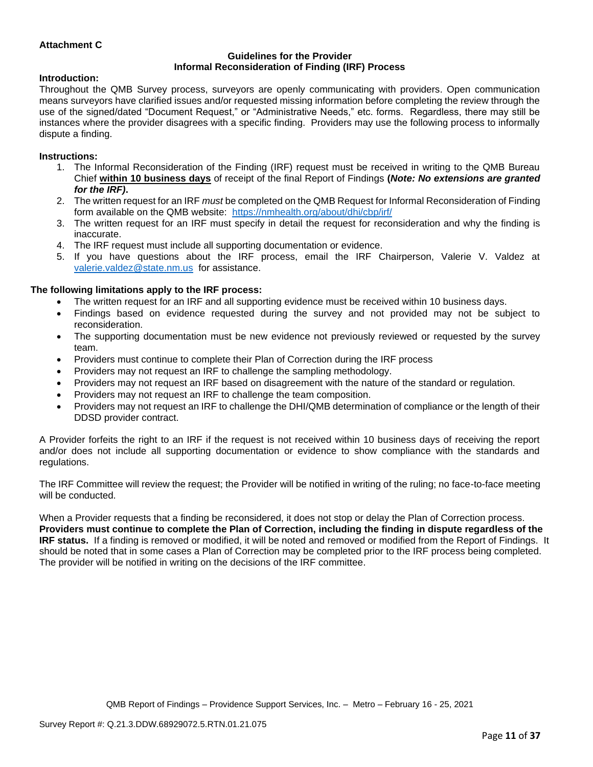### **Attachment C**

#### **Guidelines for the Provider Informal Reconsideration of Finding (IRF) Process**

#### **Introduction:**

Throughout the QMB Survey process, surveyors are openly communicating with providers. Open communication means surveyors have clarified issues and/or requested missing information before completing the review through the use of the signed/dated "Document Request," or "Administrative Needs," etc. forms. Regardless, there may still be instances where the provider disagrees with a specific finding. Providers may use the following process to informally dispute a finding.

#### **Instructions:**

- 1. The Informal Reconsideration of the Finding (IRF) request must be received in writing to the QMB Bureau Chief **within 10 business days** of receipt of the final Report of Findings **(***Note: No extensions are granted for the IRF)***.**
- 2. The written request for an IRF *must* be completed on the QMB Request for Informal Reconsideration of Finding form available on the QMB website: <https://nmhealth.org/about/dhi/cbp/irf/>
- 3. The written request for an IRF must specify in detail the request for reconsideration and why the finding is inaccurate.
- 4. The IRF request must include all supporting documentation or evidence.
- 5. If you have questions about the IRF process, email the IRF Chairperson, Valerie V. Valdez at [valerie.valdez@state.nm.us](mailto:valerie.valdez@state.nm.us) for assistance.

#### **The following limitations apply to the IRF process:**

- The written request for an IRF and all supporting evidence must be received within 10 business days.
- Findings based on evidence requested during the survey and not provided may not be subject to reconsideration.
- The supporting documentation must be new evidence not previously reviewed or requested by the survey team.
- Providers must continue to complete their Plan of Correction during the IRF process
- Providers may not request an IRF to challenge the sampling methodology.
- Providers may not request an IRF based on disagreement with the nature of the standard or regulation.
- Providers may not request an IRF to challenge the team composition.
- Providers may not request an IRF to challenge the DHI/QMB determination of compliance or the length of their DDSD provider contract.

A Provider forfeits the right to an IRF if the request is not received within 10 business days of receiving the report and/or does not include all supporting documentation or evidence to show compliance with the standards and regulations.

The IRF Committee will review the request; the Provider will be notified in writing of the ruling; no face-to-face meeting will be conducted.

When a Provider requests that a finding be reconsidered, it does not stop or delay the Plan of Correction process. **Providers must continue to complete the Plan of Correction, including the finding in dispute regardless of the IRF status.** If a finding is removed or modified, it will be noted and removed or modified from the Report of Findings. It should be noted that in some cases a Plan of Correction may be completed prior to the IRF process being completed. The provider will be notified in writing on the decisions of the IRF committee.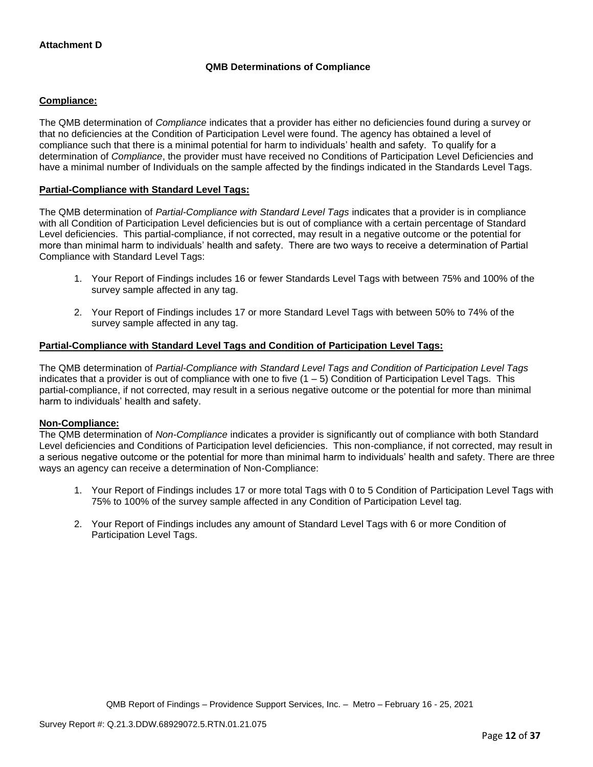## **QMB Determinations of Compliance**

### **Compliance:**

The QMB determination of *Compliance* indicates that a provider has either no deficiencies found during a survey or that no deficiencies at the Condition of Participation Level were found. The agency has obtained a level of compliance such that there is a minimal potential for harm to individuals' health and safety. To qualify for a determination of *Compliance*, the provider must have received no Conditions of Participation Level Deficiencies and have a minimal number of Individuals on the sample affected by the findings indicated in the Standards Level Tags.

### **Partial-Compliance with Standard Level Tags:**

The QMB determination of *Partial-Compliance with Standard Level Tags* indicates that a provider is in compliance with all Condition of Participation Level deficiencies but is out of compliance with a certain percentage of Standard Level deficiencies. This partial-compliance, if not corrected, may result in a negative outcome or the potential for more than minimal harm to individuals' health and safety. There are two ways to receive a determination of Partial Compliance with Standard Level Tags:

- 1. Your Report of Findings includes 16 or fewer Standards Level Tags with between 75% and 100% of the survey sample affected in any tag.
- 2. Your Report of Findings includes 17 or more Standard Level Tags with between 50% to 74% of the survey sample affected in any tag.

### **Partial-Compliance with Standard Level Tags and Condition of Participation Level Tags:**

The QMB determination of *Partial-Compliance with Standard Level Tags and Condition of Participation Level Tags*  indicates that a provider is out of compliance with one to five  $(1 - 5)$  Condition of Participation Level Tags. This partial-compliance, if not corrected, may result in a serious negative outcome or the potential for more than minimal harm to individuals' health and safety.

#### **Non-Compliance:**

The QMB determination of *Non-Compliance* indicates a provider is significantly out of compliance with both Standard Level deficiencies and Conditions of Participation level deficiencies. This non-compliance, if not corrected, may result in a serious negative outcome or the potential for more than minimal harm to individuals' health and safety. There are three ways an agency can receive a determination of Non-Compliance:

- 1. Your Report of Findings includes 17 or more total Tags with 0 to 5 Condition of Participation Level Tags with 75% to 100% of the survey sample affected in any Condition of Participation Level tag.
- 2. Your Report of Findings includes any amount of Standard Level Tags with 6 or more Condition of Participation Level Tags.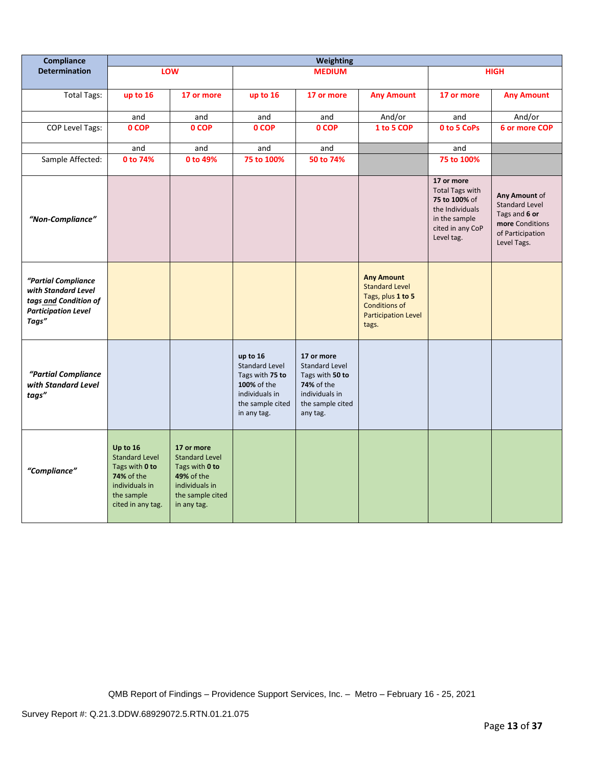| Compliance                                                                                                 | <b>Weighting</b>                                                                                                              |                                                                                                                                 |                                                                                                                          |                                                                                                                        |                                                                                                                                |                                                                                                                             |                                                                                                               |
|------------------------------------------------------------------------------------------------------------|-------------------------------------------------------------------------------------------------------------------------------|---------------------------------------------------------------------------------------------------------------------------------|--------------------------------------------------------------------------------------------------------------------------|------------------------------------------------------------------------------------------------------------------------|--------------------------------------------------------------------------------------------------------------------------------|-----------------------------------------------------------------------------------------------------------------------------|---------------------------------------------------------------------------------------------------------------|
| <b>Determination</b>                                                                                       |                                                                                                                               | LOW                                                                                                                             |                                                                                                                          | <b>MEDIUM</b>                                                                                                          |                                                                                                                                |                                                                                                                             | <b>HIGH</b>                                                                                                   |
| <b>Total Tags:</b>                                                                                         | up to 16                                                                                                                      | 17 or more                                                                                                                      | up to 16                                                                                                                 | 17 or more                                                                                                             | <b>Any Amount</b>                                                                                                              | 17 or more                                                                                                                  | <b>Any Amount</b>                                                                                             |
|                                                                                                            | and                                                                                                                           | and                                                                                                                             | and                                                                                                                      | and                                                                                                                    | And/or                                                                                                                         | and                                                                                                                         | And/or                                                                                                        |
| <b>COP Level Tags:</b>                                                                                     | 0 COP                                                                                                                         | 0 COP                                                                                                                           | 0 COP                                                                                                                    | 0 COP                                                                                                                  | 1 to 5 COP                                                                                                                     | 0 to 5 CoPs                                                                                                                 | 6 or more COP                                                                                                 |
|                                                                                                            | and                                                                                                                           | and                                                                                                                             | and                                                                                                                      | and                                                                                                                    |                                                                                                                                | and                                                                                                                         |                                                                                                               |
| Sample Affected:                                                                                           | 0 to 74%                                                                                                                      | 0 to 49%                                                                                                                        | 75 to 100%                                                                                                               | 50 to 74%                                                                                                              |                                                                                                                                | 75 to 100%                                                                                                                  |                                                                                                               |
| "Non-Compliance"                                                                                           |                                                                                                                               |                                                                                                                                 |                                                                                                                          |                                                                                                                        |                                                                                                                                | 17 or more<br><b>Total Tags with</b><br>75 to 100% of<br>the Individuals<br>in the sample<br>cited in any CoP<br>Level tag. | Any Amount of<br><b>Standard Level</b><br>Tags and 6 or<br>more Conditions<br>of Participation<br>Level Tags. |
| "Partial Compliance<br>with Standard Level<br>tags and Condition of<br><b>Participation Level</b><br>Tags" |                                                                                                                               |                                                                                                                                 |                                                                                                                          |                                                                                                                        | <b>Any Amount</b><br><b>Standard Level</b><br>Tags, plus 1 to 5<br><b>Conditions of</b><br><b>Participation Level</b><br>tags. |                                                                                                                             |                                                                                                               |
| "Partial Compliance<br>with Standard Level<br>tags"                                                        |                                                                                                                               |                                                                                                                                 | up to 16<br><b>Standard Level</b><br>Tags with 75 to<br>100% of the<br>individuals in<br>the sample cited<br>in any tag. | 17 or more<br><b>Standard Level</b><br>Tags with 50 to<br>74% of the<br>individuals in<br>the sample cited<br>any tag. |                                                                                                                                |                                                                                                                             |                                                                                                               |
| "Compliance"                                                                                               | Up to 16<br><b>Standard Level</b><br>Tags with 0 to<br><b>74% of the</b><br>individuals in<br>the sample<br>cited in any tag. | 17 or more<br><b>Standard Level</b><br>Tags with 0 to<br><b>49% of the</b><br>individuals in<br>the sample cited<br>in any tag. |                                                                                                                          |                                                                                                                        |                                                                                                                                |                                                                                                                             |                                                                                                               |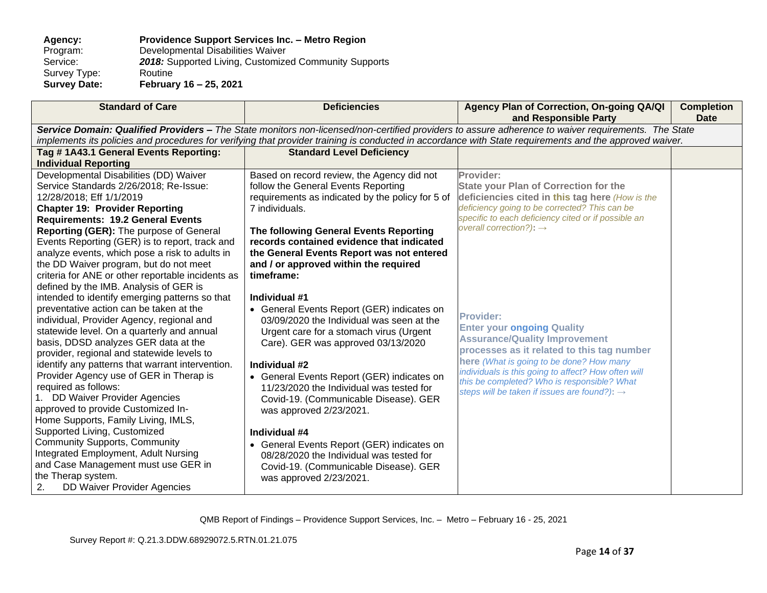### **Agency: Providence Support Services Inc. – Metro Region** Program: Developmental Disabilities Waiver<br>Service: 2018: Supported Living, Customize 2018: Supported Living, Customized Community Supports Routine Survey Type:<br>Survey Date: **Survey Date: February 16 – 25, 2021**

| <b>Standard of Care</b>                                                                  | <b>Deficiencies</b>                                                                | Agency Plan of Correction, On-going QA/QI<br>and Responsible Party                                                                                      | <b>Completion</b><br><b>Date</b> |
|------------------------------------------------------------------------------------------|------------------------------------------------------------------------------------|---------------------------------------------------------------------------------------------------------------------------------------------------------|----------------------------------|
|                                                                                          |                                                                                    | Service Domain: Qualified Providers - The State monitors non-licensed/non-certified providers to assure adherence to waiver requirements. The State     |                                  |
|                                                                                          |                                                                                    | implements its policies and procedures for verifying that provider training is conducted in accordance with State requirements and the approved waiver. |                                  |
| Tag #1A43.1 General Events Reporting:                                                    | <b>Standard Level Deficiency</b>                                                   |                                                                                                                                                         |                                  |
| <b>Individual Reporting</b>                                                              |                                                                                    |                                                                                                                                                         |                                  |
| Developmental Disabilities (DD) Waiver                                                   | Based on record review, the Agency did not                                         | Provider:                                                                                                                                               |                                  |
| Service Standards 2/26/2018; Re-Issue:                                                   | follow the General Events Reporting                                                | <b>State your Plan of Correction for the</b>                                                                                                            |                                  |
| 12/28/2018; Eff 1/1/2019                                                                 | requirements as indicated by the policy for 5 of                                   | deficiencies cited in this tag here (How is the                                                                                                         |                                  |
| <b>Chapter 19: Provider Reporting</b>                                                    | 7 individuals.                                                                     | deficiency going to be corrected? This can be<br>specific to each deficiency cited or if possible an                                                    |                                  |
| <b>Requirements: 19.2 General Events</b>                                                 |                                                                                    | overall correction?): $\rightarrow$                                                                                                                     |                                  |
| Reporting (GER): The purpose of General                                                  | The following General Events Reporting                                             |                                                                                                                                                         |                                  |
| Events Reporting (GER) is to report, track and                                           | records contained evidence that indicated                                          |                                                                                                                                                         |                                  |
| analyze events, which pose a risk to adults in<br>the DD Waiver program, but do not meet | the General Events Report was not entered<br>and / or approved within the required |                                                                                                                                                         |                                  |
| criteria for ANE or other reportable incidents as                                        | timeframe:                                                                         |                                                                                                                                                         |                                  |
| defined by the IMB. Analysis of GER is                                                   |                                                                                    |                                                                                                                                                         |                                  |
| intended to identify emerging patterns so that                                           | Individual #1                                                                      |                                                                                                                                                         |                                  |
| preventative action can be taken at the                                                  | • General Events Report (GER) indicates on                                         |                                                                                                                                                         |                                  |
| individual, Provider Agency, regional and                                                | 03/09/2020 the Individual was seen at the                                          | <b>Provider:</b>                                                                                                                                        |                                  |
| statewide level. On a quarterly and annual                                               | Urgent care for a stomach virus (Urgent                                            | <b>Enter your ongoing Quality</b>                                                                                                                       |                                  |
| basis, DDSD analyzes GER data at the                                                     | Care). GER was approved 03/13/2020                                                 | <b>Assurance/Quality Improvement</b>                                                                                                                    |                                  |
| provider, regional and statewide levels to                                               |                                                                                    | processes as it related to this tag number                                                                                                              |                                  |
| identify any patterns that warrant intervention.                                         | Individual #2                                                                      | here (What is going to be done? How many                                                                                                                |                                  |
| Provider Agency use of GER in Therap is                                                  | • General Events Report (GER) indicates on                                         | individuals is this going to affect? How often will<br>this be completed? Who is responsible? What                                                      |                                  |
| required as follows:                                                                     | 11/23/2020 the Individual was tested for                                           | steps will be taken if issues are found?): $\rightarrow$                                                                                                |                                  |
| 1. DD Waiver Provider Agencies                                                           | Covid-19. (Communicable Disease). GER                                              |                                                                                                                                                         |                                  |
| approved to provide Customized In-                                                       | was approved 2/23/2021.                                                            |                                                                                                                                                         |                                  |
| Home Supports, Family Living, IMLS,                                                      |                                                                                    |                                                                                                                                                         |                                  |
| Supported Living, Customized                                                             | Individual #4                                                                      |                                                                                                                                                         |                                  |
| <b>Community Supports, Community</b>                                                     | • General Events Report (GER) indicates on                                         |                                                                                                                                                         |                                  |
| Integrated Employment, Adult Nursing                                                     | 08/28/2020 the Individual was tested for                                           |                                                                                                                                                         |                                  |
| and Case Management must use GER in                                                      | Covid-19. (Communicable Disease). GER                                              |                                                                                                                                                         |                                  |
| the Therap system.<br><b>DD Waiver Provider Agencies</b>                                 | was approved 2/23/2021.                                                            |                                                                                                                                                         |                                  |
| 2.                                                                                       |                                                                                    |                                                                                                                                                         |                                  |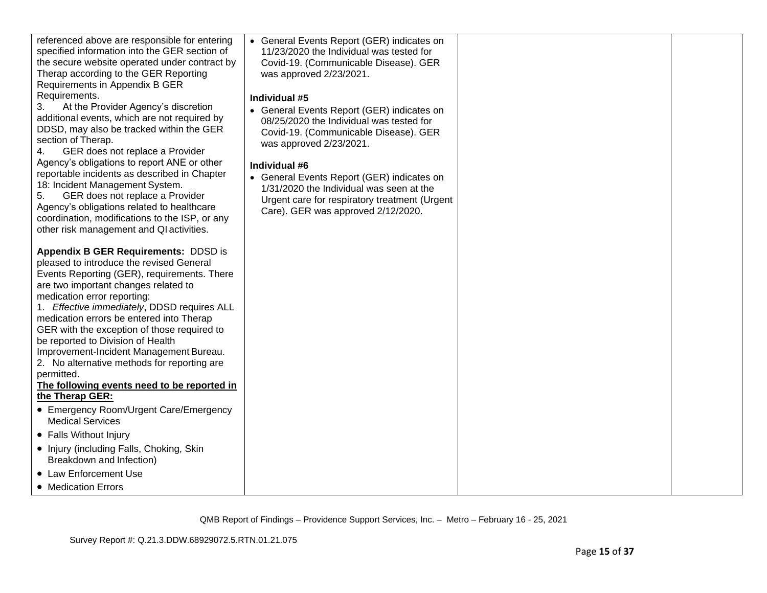| specified information into the GER section of<br>the secure website operated under contract by<br>Therap according to the GER Reporting<br>Requirements in Appendix B GER<br>Requirements.<br>At the Provider Agency's discretion<br>3.<br>additional events, which are not required by<br>DDSD, may also be tracked within the GER<br>section of Therap.<br>GER does not replace a Provider<br>4.<br>Agency's obligations to report ANE or other<br>reportable incidents as described in Chapter<br>18: Incident Management System.<br>GER does not replace a Provider<br>5.<br>Agency's obligations related to healthcare<br>coordination, modifications to the ISP, or any<br>other risk management and QI activities.<br><b>Appendix B GER Requirements: DDSD is</b> | 11/23/2020 the Individual was tested for<br>Covid-19. (Communicable Disease). GER<br>was approved 2/23/2021.<br>Individual #5<br>• General Events Report (GER) indicates on<br>08/25/2020 the Individual was tested for<br>Covid-19. (Communicable Disease). GER<br>was approved 2/23/2021.<br>Individual #6<br>• General Events Report (GER) indicates on<br>1/31/2020 the Individual was seen at the<br>Urgent care for respiratory treatment (Urgent<br>Care). GER was approved 2/12/2020. |  |
|--------------------------------------------------------------------------------------------------------------------------------------------------------------------------------------------------------------------------------------------------------------------------------------------------------------------------------------------------------------------------------------------------------------------------------------------------------------------------------------------------------------------------------------------------------------------------------------------------------------------------------------------------------------------------------------------------------------------------------------------------------------------------|-----------------------------------------------------------------------------------------------------------------------------------------------------------------------------------------------------------------------------------------------------------------------------------------------------------------------------------------------------------------------------------------------------------------------------------------------------------------------------------------------|--|
| pleased to introduce the revised General<br>Events Reporting (GER), requirements. There                                                                                                                                                                                                                                                                                                                                                                                                                                                                                                                                                                                                                                                                                  |                                                                                                                                                                                                                                                                                                                                                                                                                                                                                               |  |
| are two important changes related to<br>medication error reporting:                                                                                                                                                                                                                                                                                                                                                                                                                                                                                                                                                                                                                                                                                                      |                                                                                                                                                                                                                                                                                                                                                                                                                                                                                               |  |
| 1. Effective immediately, DDSD requires ALL<br>medication errors be entered into Therap                                                                                                                                                                                                                                                                                                                                                                                                                                                                                                                                                                                                                                                                                  |                                                                                                                                                                                                                                                                                                                                                                                                                                                                                               |  |
| GER with the exception of those required to<br>be reported to Division of Health                                                                                                                                                                                                                                                                                                                                                                                                                                                                                                                                                                                                                                                                                         |                                                                                                                                                                                                                                                                                                                                                                                                                                                                                               |  |
| Improvement-Incident Management Bureau.<br>2. No alternative methods for reporting are                                                                                                                                                                                                                                                                                                                                                                                                                                                                                                                                                                                                                                                                                   |                                                                                                                                                                                                                                                                                                                                                                                                                                                                                               |  |
| permitted.<br>The following events need to be reported in                                                                                                                                                                                                                                                                                                                                                                                                                                                                                                                                                                                                                                                                                                                |                                                                                                                                                                                                                                                                                                                                                                                                                                                                                               |  |
| the Therap GER:<br>• Emergency Room/Urgent Care/Emergency                                                                                                                                                                                                                                                                                                                                                                                                                                                                                                                                                                                                                                                                                                                |                                                                                                                                                                                                                                                                                                                                                                                                                                                                                               |  |
| <b>Medical Services</b>                                                                                                                                                                                                                                                                                                                                                                                                                                                                                                                                                                                                                                                                                                                                                  |                                                                                                                                                                                                                                                                                                                                                                                                                                                                                               |  |
| • Falls Without Injury                                                                                                                                                                                                                                                                                                                                                                                                                                                                                                                                                                                                                                                                                                                                                   |                                                                                                                                                                                                                                                                                                                                                                                                                                                                                               |  |
| • Injury (including Falls, Choking, Skin<br>Breakdown and Infection)                                                                                                                                                                                                                                                                                                                                                                                                                                                                                                                                                                                                                                                                                                     |                                                                                                                                                                                                                                                                                                                                                                                                                                                                                               |  |
| • Law Enforcement Use                                                                                                                                                                                                                                                                                                                                                                                                                                                                                                                                                                                                                                                                                                                                                    |                                                                                                                                                                                                                                                                                                                                                                                                                                                                                               |  |
| • Medication Errors                                                                                                                                                                                                                                                                                                                                                                                                                                                                                                                                                                                                                                                                                                                                                      |                                                                                                                                                                                                                                                                                                                                                                                                                                                                                               |  |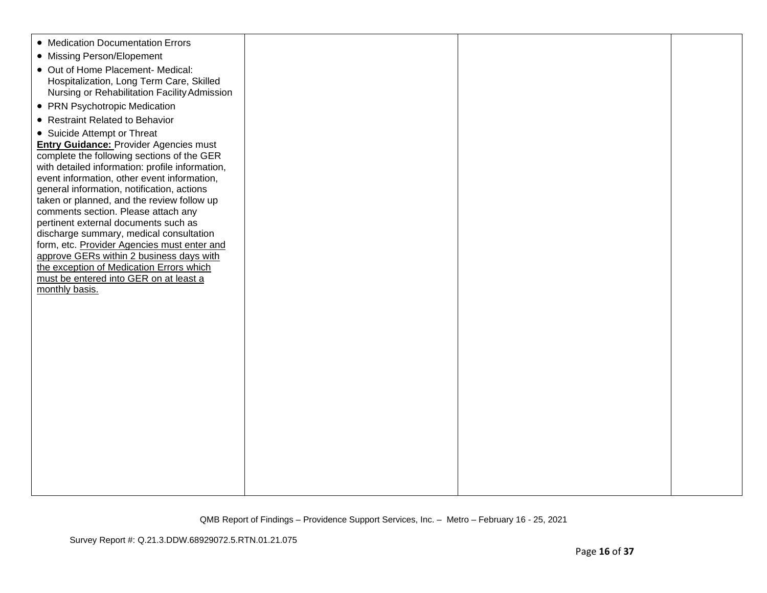| • Medication Documentation Errors                                               |  |  |
|---------------------------------------------------------------------------------|--|--|
| • Missing Person/Elopement                                                      |  |  |
| • Out of Home Placement- Medical:                                               |  |  |
| Hospitalization, Long Term Care, Skilled                                        |  |  |
| Nursing or Rehabilitation Facility Admission                                    |  |  |
| • PRN Psychotropic Medication                                                   |  |  |
| • Restraint Related to Behavior                                                 |  |  |
| • Suicide Attempt or Threat                                                     |  |  |
| <b>Entry Guidance: Provider Agencies must</b>                                   |  |  |
| complete the following sections of the GER                                      |  |  |
| with detailed information: profile information,                                 |  |  |
| event information, other event information,                                     |  |  |
| general information, notification, actions                                      |  |  |
| taken or planned, and the review follow up                                      |  |  |
| comments section. Please attach any                                             |  |  |
| pertinent external documents such as<br>discharge summary, medical consultation |  |  |
| form, etc. Provider Agencies must enter and                                     |  |  |
| approve GERs within 2 business days with                                        |  |  |
| the exception of Medication Errors which                                        |  |  |
| must be entered into GER on at least a                                          |  |  |
| monthly basis.                                                                  |  |  |
|                                                                                 |  |  |
|                                                                                 |  |  |
|                                                                                 |  |  |
|                                                                                 |  |  |
|                                                                                 |  |  |
|                                                                                 |  |  |
|                                                                                 |  |  |
|                                                                                 |  |  |
|                                                                                 |  |  |
|                                                                                 |  |  |
|                                                                                 |  |  |
|                                                                                 |  |  |
|                                                                                 |  |  |
|                                                                                 |  |  |
|                                                                                 |  |  |
|                                                                                 |  |  |
|                                                                                 |  |  |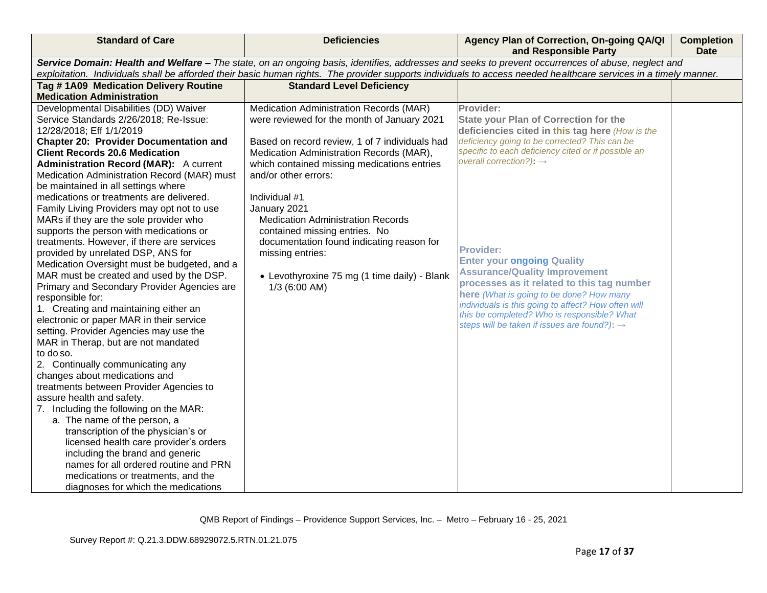| <b>Standard of Care</b>                                                                                                                                                                                                                                                                                               | <b>Deficiencies</b>                            | Agency Plan of Correction, On-going QA/QI<br>and Responsible Party                               | <b>Completion</b><br><b>Date</b> |  |  |
|-----------------------------------------------------------------------------------------------------------------------------------------------------------------------------------------------------------------------------------------------------------------------------------------------------------------------|------------------------------------------------|--------------------------------------------------------------------------------------------------|----------------------------------|--|--|
| Service Domain: Health and Welfare - The state, on an ongoing basis, identifies, addresses and seeks to prevent occurrences of abuse, neglect and<br>exploitation. Individuals shall be afforded their basic human rights. The provider supports individuals to access needed healthcare services in a timely manner. |                                                |                                                                                                  |                                  |  |  |
|                                                                                                                                                                                                                                                                                                                       |                                                |                                                                                                  |                                  |  |  |
| Tag #1A09 Medication Delivery Routine                                                                                                                                                                                                                                                                                 | <b>Standard Level Deficiency</b>               |                                                                                                  |                                  |  |  |
| <b>Medication Administration</b>                                                                                                                                                                                                                                                                                      |                                                |                                                                                                  |                                  |  |  |
| Developmental Disabilities (DD) Waiver                                                                                                                                                                                                                                                                                | Medication Administration Records (MAR)        | Provider:                                                                                        |                                  |  |  |
| Service Standards 2/26/2018; Re-Issue:                                                                                                                                                                                                                                                                                | were reviewed for the month of January 2021    | <b>State your Plan of Correction for the</b>                                                     |                                  |  |  |
| 12/28/2018; Eff 1/1/2019                                                                                                                                                                                                                                                                                              |                                                | deficiencies cited in this tag here (How is the<br>deficiency going to be corrected? This can be |                                  |  |  |
| <b>Chapter 20: Provider Documentation and</b>                                                                                                                                                                                                                                                                         | Based on record review, 1 of 7 individuals had | specific to each deficiency cited or if possible an                                              |                                  |  |  |
| <b>Client Records 20.6 Medication</b>                                                                                                                                                                                                                                                                                 | Medication Administration Records (MAR),       | overall correction?): $\rightarrow$                                                              |                                  |  |  |
| <b>Administration Record (MAR):</b> A current                                                                                                                                                                                                                                                                         | which contained missing medications entries    |                                                                                                  |                                  |  |  |
| Medication Administration Record (MAR) must                                                                                                                                                                                                                                                                           | and/or other errors:                           |                                                                                                  |                                  |  |  |
| be maintained in all settings where<br>medications or treatments are delivered.                                                                                                                                                                                                                                       | Individual #1                                  |                                                                                                  |                                  |  |  |
| Family Living Providers may opt not to use                                                                                                                                                                                                                                                                            | January 2021                                   |                                                                                                  |                                  |  |  |
| MARs if they are the sole provider who                                                                                                                                                                                                                                                                                | <b>Medication Administration Records</b>       |                                                                                                  |                                  |  |  |
| supports the person with medications or                                                                                                                                                                                                                                                                               | contained missing entries. No                  |                                                                                                  |                                  |  |  |
| treatments. However, if there are services                                                                                                                                                                                                                                                                            | documentation found indicating reason for      |                                                                                                  |                                  |  |  |
| provided by unrelated DSP, ANS for                                                                                                                                                                                                                                                                                    | missing entries:                               | <b>Provider:</b>                                                                                 |                                  |  |  |
| Medication Oversight must be budgeted, and a                                                                                                                                                                                                                                                                          |                                                | <b>Enter your ongoing Quality</b>                                                                |                                  |  |  |
| MAR must be created and used by the DSP.                                                                                                                                                                                                                                                                              | • Levothyroxine 75 mg (1 time daily) - Blank   | <b>Assurance/Quality Improvement</b>                                                             |                                  |  |  |
| Primary and Secondary Provider Agencies are                                                                                                                                                                                                                                                                           | $1/3$ (6:00 AM)                                | processes as it related to this tag number                                                       |                                  |  |  |
| responsible for:                                                                                                                                                                                                                                                                                                      |                                                | here (What is going to be done? How many                                                         |                                  |  |  |
| 1. Creating and maintaining either an                                                                                                                                                                                                                                                                                 |                                                | individuals is this going to affect? How often will                                              |                                  |  |  |
| electronic or paper MAR in their service                                                                                                                                                                                                                                                                              |                                                | this be completed? Who is responsible? What                                                      |                                  |  |  |
| setting. Provider Agencies may use the                                                                                                                                                                                                                                                                                |                                                | steps will be taken if issues are found?): $\rightarrow$                                         |                                  |  |  |
| MAR in Therap, but are not mandated                                                                                                                                                                                                                                                                                   |                                                |                                                                                                  |                                  |  |  |
| to do so.                                                                                                                                                                                                                                                                                                             |                                                |                                                                                                  |                                  |  |  |
| 2. Continually communicating any                                                                                                                                                                                                                                                                                      |                                                |                                                                                                  |                                  |  |  |
| changes about medications and                                                                                                                                                                                                                                                                                         |                                                |                                                                                                  |                                  |  |  |
| treatments between Provider Agencies to                                                                                                                                                                                                                                                                               |                                                |                                                                                                  |                                  |  |  |
| assure health and safety.                                                                                                                                                                                                                                                                                             |                                                |                                                                                                  |                                  |  |  |
| 7. Including the following on the MAR:                                                                                                                                                                                                                                                                                |                                                |                                                                                                  |                                  |  |  |
| a. The name of the person, a                                                                                                                                                                                                                                                                                          |                                                |                                                                                                  |                                  |  |  |
| transcription of the physician's or                                                                                                                                                                                                                                                                                   |                                                |                                                                                                  |                                  |  |  |
| licensed health care provider's orders                                                                                                                                                                                                                                                                                |                                                |                                                                                                  |                                  |  |  |
| including the brand and generic                                                                                                                                                                                                                                                                                       |                                                |                                                                                                  |                                  |  |  |
| names for all ordered routine and PRN                                                                                                                                                                                                                                                                                 |                                                |                                                                                                  |                                  |  |  |
| medications or treatments, and the                                                                                                                                                                                                                                                                                    |                                                |                                                                                                  |                                  |  |  |
| diagnoses for which the medications                                                                                                                                                                                                                                                                                   |                                                |                                                                                                  |                                  |  |  |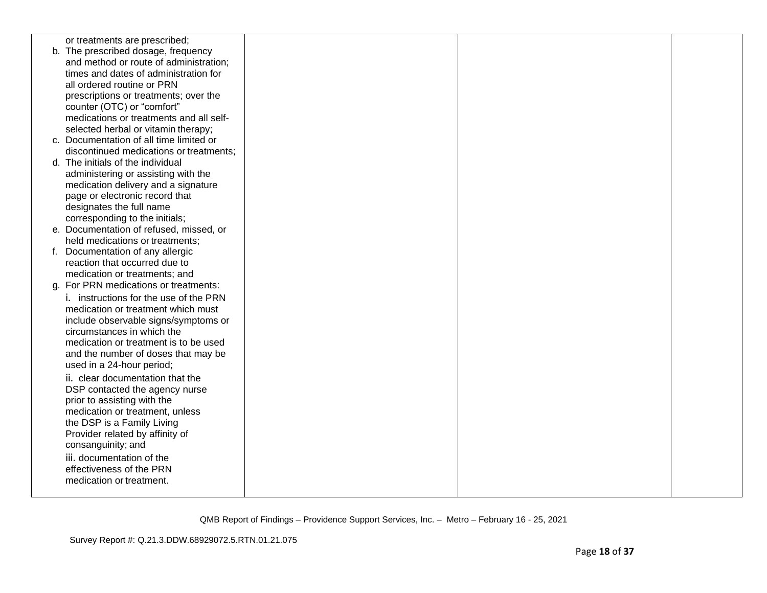| or treatments are prescribed;           |  |  |
|-----------------------------------------|--|--|
| b. The prescribed dosage, frequency     |  |  |
| and method or route of administration;  |  |  |
| times and dates of administration for   |  |  |
|                                         |  |  |
| all ordered routine or PRN              |  |  |
| prescriptions or treatments; over the   |  |  |
| counter (OTC) or "comfort"              |  |  |
| medications or treatments and all self- |  |  |
| selected herbal or vitamin therapy;     |  |  |
| c. Documentation of all time limited or |  |  |
| discontinued medications or treatments; |  |  |
| d. The initials of the individual       |  |  |
| administering or assisting with the     |  |  |
| medication delivery and a signature     |  |  |
| page or electronic record that          |  |  |
| designates the full name                |  |  |
| corresponding to the initials;          |  |  |
| e. Documentation of refused, missed, or |  |  |
| held medications or treatments;         |  |  |
| f. Documentation of any allergic        |  |  |
| reaction that occurred due to           |  |  |
| medication or treatments; and           |  |  |
| g. For PRN medications or treatments:   |  |  |
| i. instructions for the use of the PRN  |  |  |
| medication or treatment which must      |  |  |
| include observable signs/symptoms or    |  |  |
| circumstances in which the              |  |  |
| medication or treatment is to be used   |  |  |
| and the number of doses that may be     |  |  |
| used in a 24-hour period;               |  |  |
|                                         |  |  |
| ii. clear documentation that the        |  |  |
| DSP contacted the agency nurse          |  |  |
| prior to assisting with the             |  |  |
| medication or treatment, unless         |  |  |
| the DSP is a Family Living              |  |  |
| Provider related by affinity of         |  |  |
| consanguinity; and                      |  |  |
| iii. documentation of the               |  |  |
| effectiveness of the PRN                |  |  |
| medication or treatment.                |  |  |
|                                         |  |  |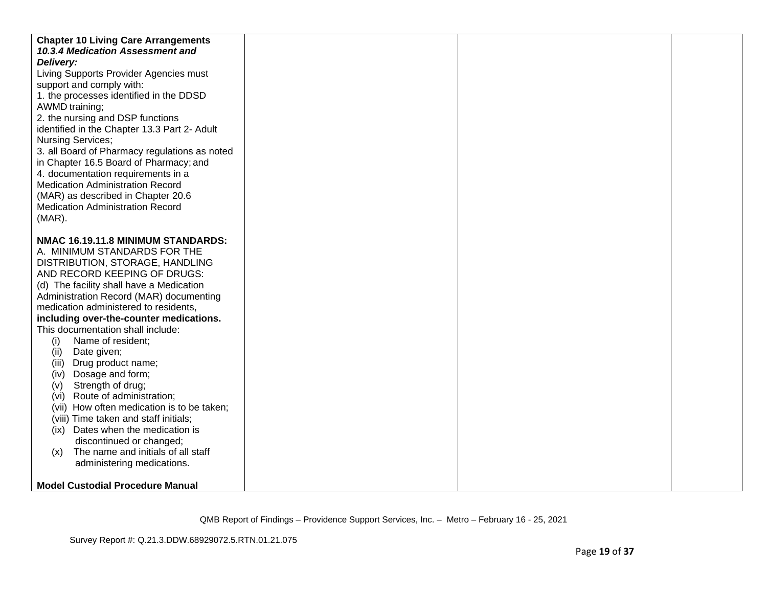| <b>Chapter 10 Living Care Arrangements</b><br>10.3.4 Medication Assessment and<br>Delivery:<br>Living Supports Provider Agencies must<br>support and comply with:                                                          |  |  |
|----------------------------------------------------------------------------------------------------------------------------------------------------------------------------------------------------------------------------|--|--|
| 1. the processes identified in the DDSD<br>AWMD training;<br>2. the nursing and DSP functions<br>identified in the Chapter 13.3 Part 2- Adult<br><b>Nursing Services;</b><br>3. all Board of Pharmacy regulations as noted |  |  |
| in Chapter 16.5 Board of Pharmacy; and<br>4. documentation requirements in a<br><b>Medication Administration Record</b><br>(MAR) as described in Chapter 20.6<br><b>Medication Administration Record</b><br>$(MAR)$ .      |  |  |
| NMAC 16.19.11.8 MINIMUM STANDARDS:<br>A. MINIMUM STANDARDS FOR THE                                                                                                                                                         |  |  |
| DISTRIBUTION, STORAGE, HANDLING<br>AND RECORD KEEPING OF DRUGS:                                                                                                                                                            |  |  |
| (d) The facility shall have a Medication<br>Administration Record (MAR) documenting                                                                                                                                        |  |  |
| medication administered to residents,                                                                                                                                                                                      |  |  |
| including over-the-counter medications.<br>This documentation shall include:                                                                                                                                               |  |  |
| Name of resident;<br>(i)                                                                                                                                                                                                   |  |  |
| Date given;<br>(ii)<br>Drug product name;<br>(iii)                                                                                                                                                                         |  |  |
| Dosage and form;<br>(iv)                                                                                                                                                                                                   |  |  |
| Strength of drug;<br>(V)<br>Route of administration;<br>(vi)                                                                                                                                                               |  |  |
| (vii) How often medication is to be taken;                                                                                                                                                                                 |  |  |
| (viii) Time taken and staff initials;<br>(ix) Dates when the medication is                                                                                                                                                 |  |  |
| discontinued or changed;                                                                                                                                                                                                   |  |  |
| The name and initials of all staff<br>(x)                                                                                                                                                                                  |  |  |
| administering medications.                                                                                                                                                                                                 |  |  |
| <b>Model Custodial Procedure Manual</b>                                                                                                                                                                                    |  |  |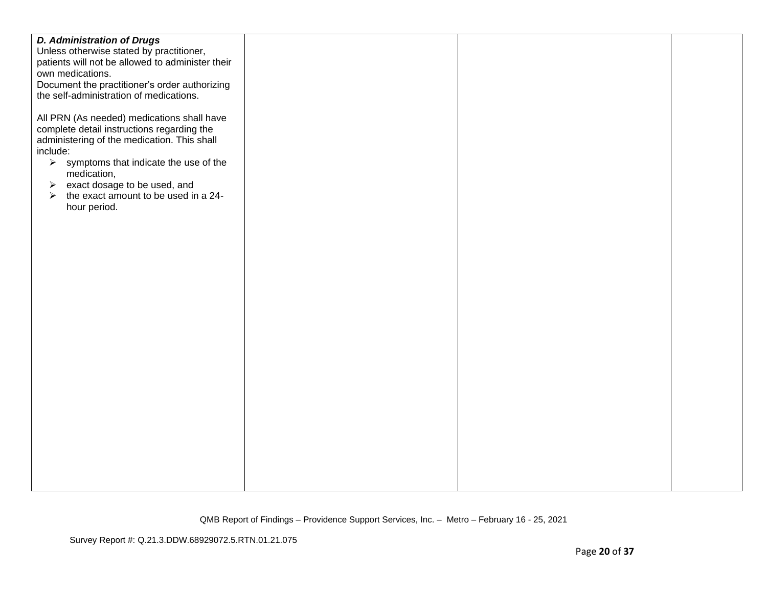| <b>D. Administration of Drugs</b>                                                                                                                                                                                                                                                                                                                                                                         |  |  |
|-----------------------------------------------------------------------------------------------------------------------------------------------------------------------------------------------------------------------------------------------------------------------------------------------------------------------------------------------------------------------------------------------------------|--|--|
| Unless otherwise stated by practitioner,                                                                                                                                                                                                                                                                                                                                                                  |  |  |
| patients will not be allowed to administer their                                                                                                                                                                                                                                                                                                                                                          |  |  |
| own medications.                                                                                                                                                                                                                                                                                                                                                                                          |  |  |
| Document the practitioner's order authorizing                                                                                                                                                                                                                                                                                                                                                             |  |  |
|                                                                                                                                                                                                                                                                                                                                                                                                           |  |  |
| the self-administration of medications.<br>All PRN (As needed) medications shall have<br>complete detail instructions regarding the<br>administering of the medication. This shall<br>include:<br>$\triangleright$ symptoms that indicate the use of the<br>medication,<br>$\triangleright$ exact dosage to be used, and<br>the exact amount to be used in a 24-<br>$\blacktriangleright$<br>hour period. |  |  |
|                                                                                                                                                                                                                                                                                                                                                                                                           |  |  |
|                                                                                                                                                                                                                                                                                                                                                                                                           |  |  |
|                                                                                                                                                                                                                                                                                                                                                                                                           |  |  |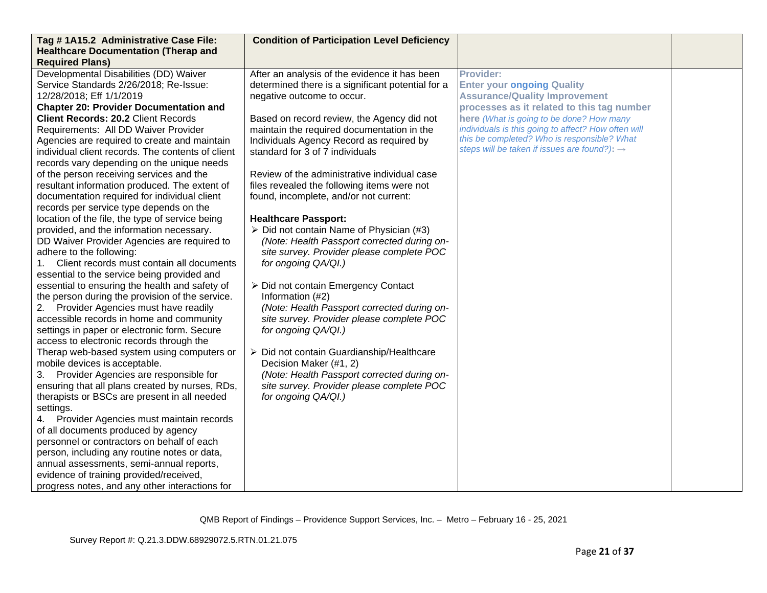| Tag # 1A15.2 Administrative Case File:                                                                                                                                                                                                                                                                                                                                                                                                                                                                                                                                                                                                                                                                                                                                                                                                                                                                                                                                                                                                                                                                                                                                                                                                                                                                                                                                                                                                                                                                                                                                                                                                                                                                                                                                | <b>Condition of Participation Level Deficiency</b>                                                                                                                                                                                                                                                                                                                                                                                                                                                                                                                                                                                                                                                                                                                                                                                                                                                                                                                                                                                        |                                                                                                                                                                                                                                                                                                                                                           |  |
|-----------------------------------------------------------------------------------------------------------------------------------------------------------------------------------------------------------------------------------------------------------------------------------------------------------------------------------------------------------------------------------------------------------------------------------------------------------------------------------------------------------------------------------------------------------------------------------------------------------------------------------------------------------------------------------------------------------------------------------------------------------------------------------------------------------------------------------------------------------------------------------------------------------------------------------------------------------------------------------------------------------------------------------------------------------------------------------------------------------------------------------------------------------------------------------------------------------------------------------------------------------------------------------------------------------------------------------------------------------------------------------------------------------------------------------------------------------------------------------------------------------------------------------------------------------------------------------------------------------------------------------------------------------------------------------------------------------------------------------------------------------------------|-------------------------------------------------------------------------------------------------------------------------------------------------------------------------------------------------------------------------------------------------------------------------------------------------------------------------------------------------------------------------------------------------------------------------------------------------------------------------------------------------------------------------------------------------------------------------------------------------------------------------------------------------------------------------------------------------------------------------------------------------------------------------------------------------------------------------------------------------------------------------------------------------------------------------------------------------------------------------------------------------------------------------------------------|-----------------------------------------------------------------------------------------------------------------------------------------------------------------------------------------------------------------------------------------------------------------------------------------------------------------------------------------------------------|--|
| <b>Healthcare Documentation (Therap and</b>                                                                                                                                                                                                                                                                                                                                                                                                                                                                                                                                                                                                                                                                                                                                                                                                                                                                                                                                                                                                                                                                                                                                                                                                                                                                                                                                                                                                                                                                                                                                                                                                                                                                                                                           |                                                                                                                                                                                                                                                                                                                                                                                                                                                                                                                                                                                                                                                                                                                                                                                                                                                                                                                                                                                                                                           |                                                                                                                                                                                                                                                                                                                                                           |  |
| <b>Required Plans)</b><br>Developmental Disabilities (DD) Waiver<br>Service Standards 2/26/2018; Re-Issue:<br>12/28/2018; Eff 1/1/2019<br><b>Chapter 20: Provider Documentation and</b><br><b>Client Records: 20.2 Client Records</b><br>Requirements: All DD Waiver Provider<br>Agencies are required to create and maintain<br>individual client records. The contents of client<br>records vary depending on the unique needs<br>of the person receiving services and the<br>resultant information produced. The extent of<br>documentation required for individual client<br>records per service type depends on the<br>location of the file, the type of service being<br>provided, and the information necessary.<br>DD Waiver Provider Agencies are required to<br>adhere to the following:<br>Client records must contain all documents<br>1.<br>essential to the service being provided and<br>essential to ensuring the health and safety of<br>the person during the provision of the service.<br>Provider Agencies must have readily<br>2.<br>accessible records in home and community<br>settings in paper or electronic form. Secure<br>access to electronic records through the<br>Therap web-based system using computers or<br>mobile devices is acceptable.<br>Provider Agencies are responsible for<br>3.<br>ensuring that all plans created by nurses, RDs,<br>therapists or BSCs are present in all needed<br>settings.<br>Provider Agencies must maintain records<br>of all documents produced by agency<br>personnel or contractors on behalf of each<br>person, including any routine notes or data,<br>annual assessments, semi-annual reports,<br>evidence of training provided/received,<br>progress notes, and any other interactions for | After an analysis of the evidence it has been<br>determined there is a significant potential for a<br>negative outcome to occur.<br>Based on record review, the Agency did not<br>maintain the required documentation in the<br>Individuals Agency Record as required by<br>standard for 3 of 7 individuals<br>Review of the administrative individual case<br>files revealed the following items were not<br>found, incomplete, and/or not current:<br><b>Healthcare Passport:</b><br>$\triangleright$ Did not contain Name of Physician (#3)<br>(Note: Health Passport corrected during on-<br>site survey. Provider please complete POC<br>for ongoing QA/QI.)<br>> Did not contain Emergency Contact<br>Information (#2)<br>(Note: Health Passport corrected during on-<br>site survey. Provider please complete POC<br>for ongoing QA/QI.)<br>> Did not contain Guardianship/Healthcare<br>Decision Maker (#1, 2)<br>(Note: Health Passport corrected during on-<br>site survey. Provider please complete POC<br>for ongoing QA/QI.) | <b>Provider:</b><br><b>Enter your ongoing Quality</b><br><b>Assurance/Quality Improvement</b><br>processes as it related to this tag number<br>here (What is going to be done? How many<br>individuals is this going to affect? How often will<br>this be completed? Who is responsible? What<br>steps will be taken if issues are found?): $\rightarrow$ |  |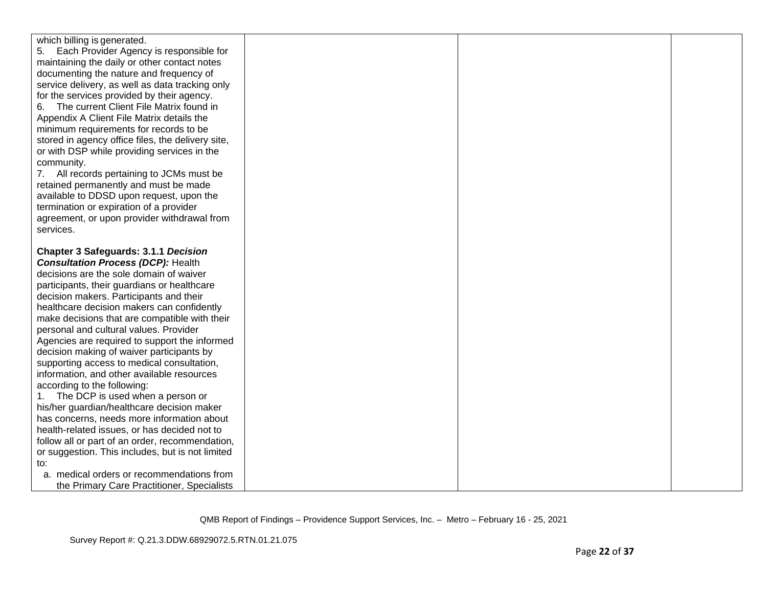| which billing is generated.                       |  |  |
|---------------------------------------------------|--|--|
| 5. Each Provider Agency is responsible for        |  |  |
| maintaining the daily or other contact notes      |  |  |
| documenting the nature and frequency of           |  |  |
| service delivery, as well as data tracking only   |  |  |
| for the services provided by their agency.        |  |  |
| The current Client File Matrix found in<br>6.     |  |  |
| Appendix A Client File Matrix details the         |  |  |
| minimum requirements for records to be            |  |  |
| stored in agency office files, the delivery site, |  |  |
| or with DSP while providing services in the       |  |  |
| community.                                        |  |  |
| 7. All records pertaining to JCMs must be         |  |  |
| retained permanently and must be made             |  |  |
| available to DDSD upon request, upon the          |  |  |
| termination or expiration of a provider           |  |  |
| agreement, or upon provider withdrawal from       |  |  |
| services.                                         |  |  |
|                                                   |  |  |
| <b>Chapter 3 Safeguards: 3.1.1 Decision</b>       |  |  |
| <b>Consultation Process (DCP): Health</b>         |  |  |
| decisions are the sole domain of waiver           |  |  |
| participants, their guardians or healthcare       |  |  |
| decision makers. Participants and their           |  |  |
| healthcare decision makers can confidently        |  |  |
| make decisions that are compatible with their     |  |  |
| personal and cultural values. Provider            |  |  |
| Agencies are required to support the informed     |  |  |
| decision making of waiver participants by         |  |  |
| supporting access to medical consultation,        |  |  |
| information, and other available resources        |  |  |
| according to the following:                       |  |  |
| The DCP is used when a person or                  |  |  |
| his/her guardian/healthcare decision maker        |  |  |
| has concerns, needs more information about        |  |  |
| health-related issues, or has decided not to      |  |  |
| follow all or part of an order, recommendation,   |  |  |
| or suggestion. This includes, but is not limited  |  |  |
| to:                                               |  |  |
| a. medical orders or recommendations from         |  |  |
| the Primary Care Practitioner, Specialists        |  |  |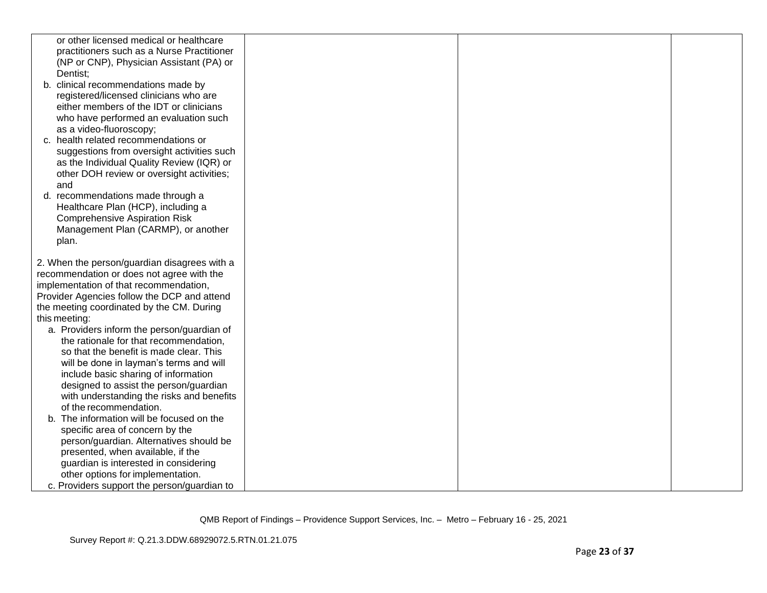| or other licensed medical or healthcare      |  |  |
|----------------------------------------------|--|--|
| practitioners such as a Nurse Practitioner   |  |  |
| (NP or CNP), Physician Assistant (PA) or     |  |  |
| Dentist:                                     |  |  |
| b. clinical recommendations made by          |  |  |
| registered/licensed clinicians who are       |  |  |
| either members of the IDT or clinicians      |  |  |
| who have performed an evaluation such        |  |  |
| as a video-fluoroscopy;                      |  |  |
| c. health related recommendations or         |  |  |
| suggestions from oversight activities such   |  |  |
| as the Individual Quality Review (IQR) or    |  |  |
| other DOH review or oversight activities;    |  |  |
| and                                          |  |  |
| d. recommendations made through a            |  |  |
| Healthcare Plan (HCP), including a           |  |  |
| <b>Comprehensive Aspiration Risk</b>         |  |  |
| Management Plan (CARMP), or another          |  |  |
| plan.                                        |  |  |
| 2. When the person/guardian disagrees with a |  |  |
| recommendation or does not agree with the    |  |  |
| implementation of that recommendation,       |  |  |
| Provider Agencies follow the DCP and attend  |  |  |
| the meeting coordinated by the CM. During    |  |  |
| this meeting:                                |  |  |
| a. Providers inform the person/guardian of   |  |  |
| the rationale for that recommendation,       |  |  |
| so that the benefit is made clear. This      |  |  |
| will be done in layman's terms and will      |  |  |
| include basic sharing of information         |  |  |
| designed to assist the person/guardian       |  |  |
| with understanding the risks and benefits    |  |  |
| of the recommendation.                       |  |  |
| b. The information will be focused on the    |  |  |
| specific area of concern by the              |  |  |
| person/guardian. Alternatives should be      |  |  |
| presented, when available, if the            |  |  |
| guardian is interested in considering        |  |  |
| other options for implementation.            |  |  |
| c. Providers support the person/guardian to  |  |  |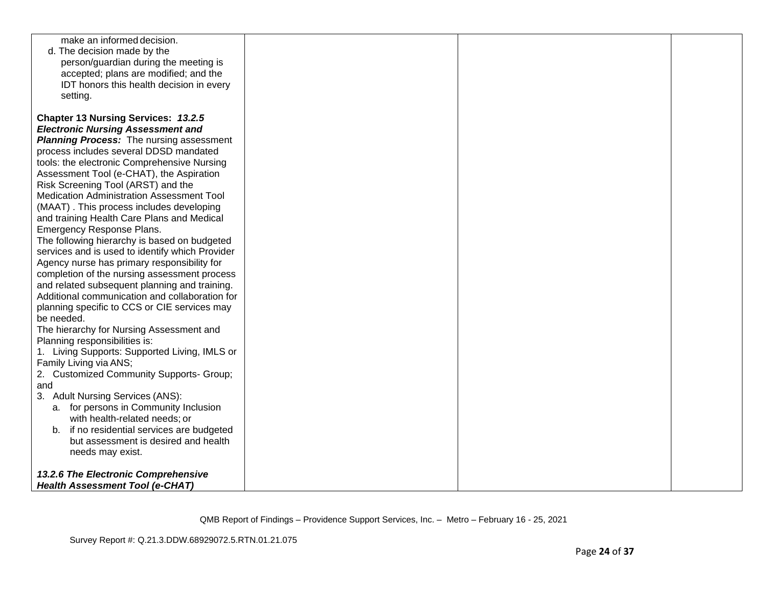| make an informed decision.                      |  |  |
|-------------------------------------------------|--|--|
| d. The decision made by the                     |  |  |
| person/guardian during the meeting is           |  |  |
| accepted; plans are modified; and the           |  |  |
| IDT honors this health decision in every        |  |  |
| setting.                                        |  |  |
|                                                 |  |  |
| Chapter 13 Nursing Services: 13.2.5             |  |  |
|                                                 |  |  |
| <b>Electronic Nursing Assessment and</b>        |  |  |
| <b>Planning Process:</b> The nursing assessment |  |  |
| process includes several DDSD mandated          |  |  |
| tools: the electronic Comprehensive Nursing     |  |  |
| Assessment Tool (e-CHAT), the Aspiration        |  |  |
| Risk Screening Tool (ARST) and the              |  |  |
| Medication Administration Assessment Tool       |  |  |
| (MAAT). This process includes developing        |  |  |
| and training Health Care Plans and Medical      |  |  |
| Emergency Response Plans.                       |  |  |
| The following hierarchy is based on budgeted    |  |  |
| services and is used to identify which Provider |  |  |
|                                                 |  |  |
| Agency nurse has primary responsibility for     |  |  |
| completion of the nursing assessment process    |  |  |
| and related subsequent planning and training.   |  |  |
| Additional communication and collaboration for  |  |  |
| planning specific to CCS or CIE services may    |  |  |
| be needed.                                      |  |  |
| The hierarchy for Nursing Assessment and        |  |  |
| Planning responsibilities is:                   |  |  |
| 1. Living Supports: Supported Living, IMLS or   |  |  |
| Family Living via ANS;                          |  |  |
| 2. Customized Community Supports- Group;        |  |  |
| and                                             |  |  |
| 3. Adult Nursing Services (ANS):                |  |  |
| a. for persons in Community Inclusion           |  |  |
| with health-related needs; or                   |  |  |
| b. if no residential services are budgeted      |  |  |
| but assessment is desired and health            |  |  |
| needs may exist.                                |  |  |
|                                                 |  |  |
| 13.2.6 The Electronic Comprehensive             |  |  |
| <b>Health Assessment Tool (e-CHAT)</b>          |  |  |
|                                                 |  |  |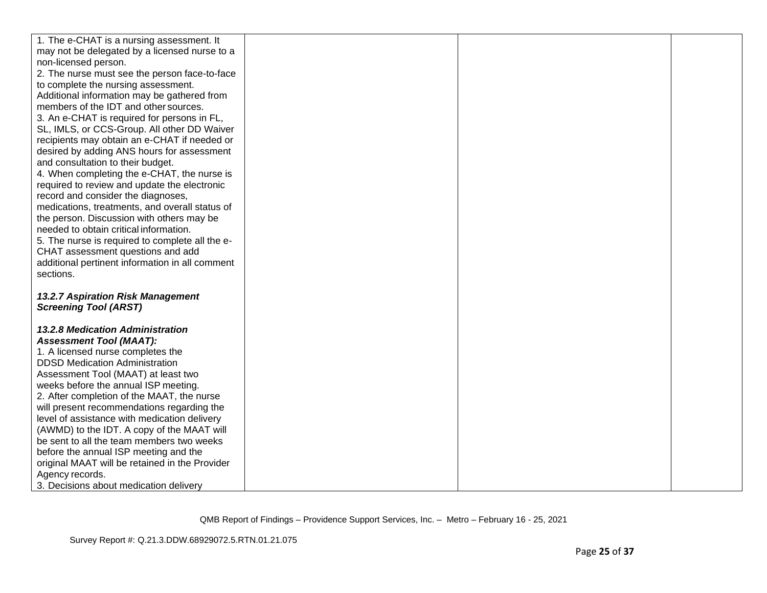| 1. The e-CHAT is a nursing assessment. It       |  |  |
|-------------------------------------------------|--|--|
| may not be delegated by a licensed nurse to a   |  |  |
| non-licensed person.                            |  |  |
| 2. The nurse must see the person face-to-face   |  |  |
| to complete the nursing assessment.             |  |  |
| Additional information may be gathered from     |  |  |
| members of the IDT and other sources.           |  |  |
| 3. An e-CHAT is required for persons in FL,     |  |  |
| SL, IMLS, or CCS-Group. All other DD Waiver     |  |  |
| recipients may obtain an e-CHAT if needed or    |  |  |
| desired by adding ANS hours for assessment      |  |  |
| and consultation to their budget.               |  |  |
| 4. When completing the e-CHAT, the nurse is     |  |  |
| required to review and update the electronic    |  |  |
| record and consider the diagnoses,              |  |  |
| medications, treatments, and overall status of  |  |  |
| the person. Discussion with others may be       |  |  |
| needed to obtain critical information.          |  |  |
| 5. The nurse is required to complete all the e- |  |  |
| CHAT assessment questions and add               |  |  |
| additional pertinent information in all comment |  |  |
| sections.                                       |  |  |
|                                                 |  |  |
| 13.2.7 Aspiration Risk Management               |  |  |
| <b>Screening Tool (ARST)</b>                    |  |  |
| 13.2.8 Medication Administration                |  |  |
| <b>Assessment Tool (MAAT):</b>                  |  |  |
| 1. A licensed nurse completes the               |  |  |
| <b>DDSD Medication Administration</b>           |  |  |
| Assessment Tool (MAAT) at least two             |  |  |
| weeks before the annual ISP meeting.            |  |  |
| 2. After completion of the MAAT, the nurse      |  |  |
| will present recommendations regarding the      |  |  |
| level of assistance with medication delivery    |  |  |
| (AWMD) to the IDT. A copy of the MAAT will      |  |  |
| be sent to all the team members two weeks       |  |  |
| before the annual ISP meeting and the           |  |  |
| original MAAT will be retained in the Provider  |  |  |
| Agency records.                                 |  |  |
| 3. Decisions about medication delivery          |  |  |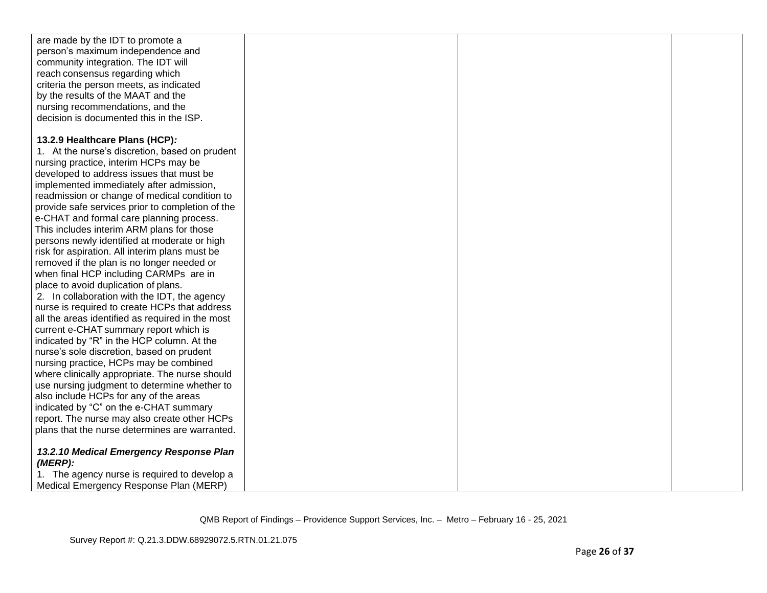| are made by the IDT to promote a                 |  |  |
|--------------------------------------------------|--|--|
| person's maximum independence and                |  |  |
| community integration. The IDT will              |  |  |
| reach consensus regarding which                  |  |  |
| criteria the person meets, as indicated          |  |  |
| by the results of the MAAT and the               |  |  |
| nursing recommendations, and the                 |  |  |
| decision is documented this in the ISP.          |  |  |
|                                                  |  |  |
| 13.2.9 Healthcare Plans (HCP):                   |  |  |
| 1. At the nurse's discretion, based on prudent   |  |  |
| nursing practice, interim HCPs may be            |  |  |
| developed to address issues that must be         |  |  |
| implemented immediately after admission,         |  |  |
| readmission or change of medical condition to    |  |  |
| provide safe services prior to completion of the |  |  |
| e-CHAT and formal care planning process.         |  |  |
| This includes interim ARM plans for those        |  |  |
| persons newly identified at moderate or high     |  |  |
|                                                  |  |  |
| risk for aspiration. All interim plans must be   |  |  |
| removed if the plan is no longer needed or       |  |  |
| when final HCP including CARMPs are in           |  |  |
| place to avoid duplication of plans.             |  |  |
| 2. In collaboration with the IDT, the agency     |  |  |
| nurse is required to create HCPs that address    |  |  |
| all the areas identified as required in the most |  |  |
| current e-CHAT summary report which is           |  |  |
| indicated by "R" in the HCP column. At the       |  |  |
| nurse's sole discretion, based on prudent        |  |  |
| nursing practice, HCPs may be combined           |  |  |
| where clinically appropriate. The nurse should   |  |  |
| use nursing judgment to determine whether to     |  |  |
| also include HCPs for any of the areas           |  |  |
| indicated by "C" on the e-CHAT summary           |  |  |
| report. The nurse may also create other HCPs     |  |  |
| plans that the nurse determines are warranted.   |  |  |
|                                                  |  |  |
| 13.2.10 Medical Emergency Response Plan          |  |  |
| (MERP):                                          |  |  |
| 1. The agency nurse is required to develop a     |  |  |
| Medical Emergency Response Plan (MERP)           |  |  |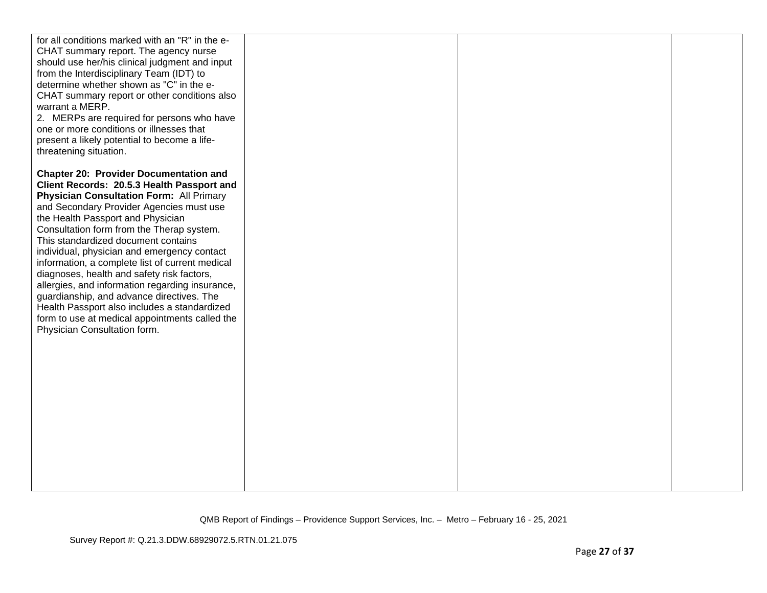| for all conditions marked with an "R" in the e- |  |  |
|-------------------------------------------------|--|--|
| CHAT summary report. The agency nurse           |  |  |
| should use her/his clinical judgment and input  |  |  |
| from the Interdisciplinary Team (IDT) to        |  |  |
| determine whether shown as "C" in the e-        |  |  |
| CHAT summary report or other conditions also    |  |  |
| warrant a MERP.                                 |  |  |
| 2. MERPs are required for persons who have      |  |  |
| one or more conditions or illnesses that        |  |  |
| present a likely potential to become a life-    |  |  |
| threatening situation.                          |  |  |
| <b>Chapter 20: Provider Documentation and</b>   |  |  |
| Client Records: 20.5.3 Health Passport and      |  |  |
| <b>Physician Consultation Form: All Primary</b> |  |  |
| and Secondary Provider Agencies must use        |  |  |
| the Health Passport and Physician               |  |  |
| Consultation form from the Therap system.       |  |  |
| This standardized document contains             |  |  |
| individual, physician and emergency contact     |  |  |
| information, a complete list of current medical |  |  |
| diagnoses, health and safety risk factors,      |  |  |
| allergies, and information regarding insurance, |  |  |
| guardianship, and advance directives. The       |  |  |
| Health Passport also includes a standardized    |  |  |
| form to use at medical appointments called the  |  |  |
| Physician Consultation form.                    |  |  |
|                                                 |  |  |
|                                                 |  |  |
|                                                 |  |  |
|                                                 |  |  |
|                                                 |  |  |
|                                                 |  |  |
|                                                 |  |  |
|                                                 |  |  |
|                                                 |  |  |
|                                                 |  |  |
|                                                 |  |  |
|                                                 |  |  |
|                                                 |  |  |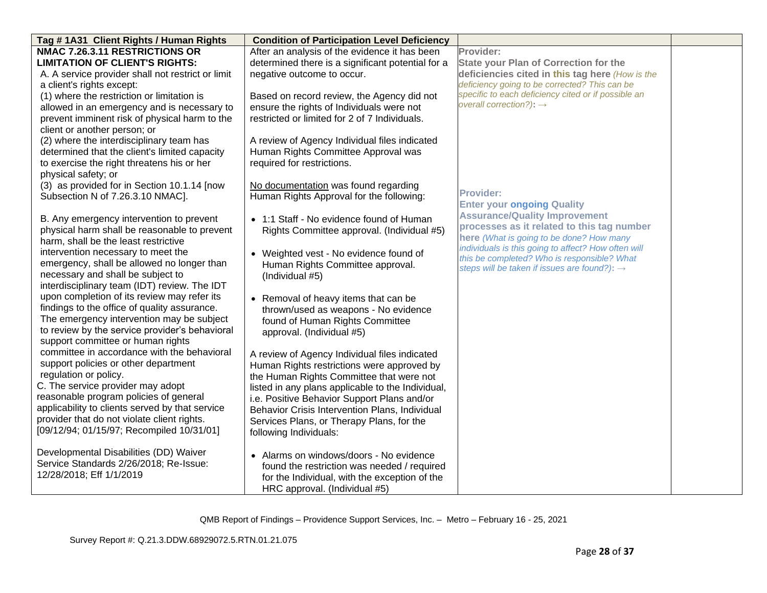| Tag #1A31 Client Rights / Human Rights            | <b>Condition of Participation Level Deficiency</b> |                                                                                                         |  |
|---------------------------------------------------|----------------------------------------------------|---------------------------------------------------------------------------------------------------------|--|
| <b>NMAC 7.26.3.11 RESTRICTIONS OR</b>             | After an analysis of the evidence it has been      | Provider:                                                                                               |  |
| <b>LIMITATION OF CLIENT'S RIGHTS:</b>             | determined there is a significant potential for a  | <b>State your Plan of Correction for the</b>                                                            |  |
| A. A service provider shall not restrict or limit | negative outcome to occur.                         | deficiencies cited in this tag here (How is the                                                         |  |
| a client's rights except:                         |                                                    | deficiency going to be corrected? This can be                                                           |  |
| (1) where the restriction or limitation is        | Based on record review, the Agency did not         | specific to each deficiency cited or if possible an                                                     |  |
| allowed in an emergency and is necessary to       | ensure the rights of Individuals were not          | overall correction?): $\rightarrow$                                                                     |  |
| prevent imminent risk of physical harm to the     | restricted or limited for 2 of 7 Individuals.      |                                                                                                         |  |
| client or another person; or                      |                                                    |                                                                                                         |  |
| (2) where the interdisciplinary team has          | A review of Agency Individual files indicated      |                                                                                                         |  |
| determined that the client's limited capacity     | Human Rights Committee Approval was                |                                                                                                         |  |
| to exercise the right threatens his or her        | required for restrictions.                         |                                                                                                         |  |
| physical safety; or                               |                                                    |                                                                                                         |  |
| (3) as provided for in Section 10.1.14 [now       | No documentation was found regarding               |                                                                                                         |  |
| Subsection N of 7.26.3.10 NMAC].                  | Human Rights Approval for the following:           | <b>Provider:</b>                                                                                        |  |
|                                                   |                                                    | <b>Enter your ongoing Quality</b>                                                                       |  |
| B. Any emergency intervention to prevent          | • 1:1 Staff - No evidence found of Human           | <b>Assurance/Quality Improvement</b>                                                                    |  |
| physical harm shall be reasonable to prevent      | Rights Committee approval. (Individual #5)         | processes as it related to this tag number                                                              |  |
| harm, shall be the least restrictive              |                                                    | here (What is going to be done? How many                                                                |  |
| intervention necessary to meet the                | • Weighted vest - No evidence found of             | individuals is this going to affect? How often will                                                     |  |
| emergency, shall be allowed no longer than        | Human Rights Committee approval.                   | this be completed? Who is responsible? What<br>steps will be taken if issues are found?): $\rightarrow$ |  |
| necessary and shall be subject to                 | (Individual #5)                                    |                                                                                                         |  |
| interdisciplinary team (IDT) review. The IDT      |                                                    |                                                                                                         |  |
| upon completion of its review may refer its       | • Removal of heavy items that can be               |                                                                                                         |  |
| findings to the office of quality assurance.      | thrown/used as weapons - No evidence               |                                                                                                         |  |
| The emergency intervention may be subject         | found of Human Rights Committee                    |                                                                                                         |  |
| to review by the service provider's behavioral    | approval. (Individual #5)                          |                                                                                                         |  |
| support committee or human rights                 |                                                    |                                                                                                         |  |
| committee in accordance with the behavioral       | A review of Agency Individual files indicated      |                                                                                                         |  |
| support policies or other department              | Human Rights restrictions were approved by         |                                                                                                         |  |
| regulation or policy.                             | the Human Rights Committee that were not           |                                                                                                         |  |
| C. The service provider may adopt                 | listed in any plans applicable to the Individual,  |                                                                                                         |  |
| reasonable program policies of general            | i.e. Positive Behavior Support Plans and/or        |                                                                                                         |  |
| applicability to clients served by that service   | Behavior Crisis Intervention Plans, Individual     |                                                                                                         |  |
| provider that do not violate client rights.       | Services Plans, or Therapy Plans, for the          |                                                                                                         |  |
| [09/12/94; 01/15/97; Recompiled 10/31/01]         | following Individuals:                             |                                                                                                         |  |
|                                                   |                                                    |                                                                                                         |  |
| Developmental Disabilities (DD) Waiver            | • Alarms on windows/doors - No evidence            |                                                                                                         |  |
| Service Standards 2/26/2018; Re-Issue:            | found the restriction was needed / required        |                                                                                                         |  |
| 12/28/2018; Eff 1/1/2019                          | for the Individual, with the exception of the      |                                                                                                         |  |
|                                                   | HRC approval. (Individual #5)                      |                                                                                                         |  |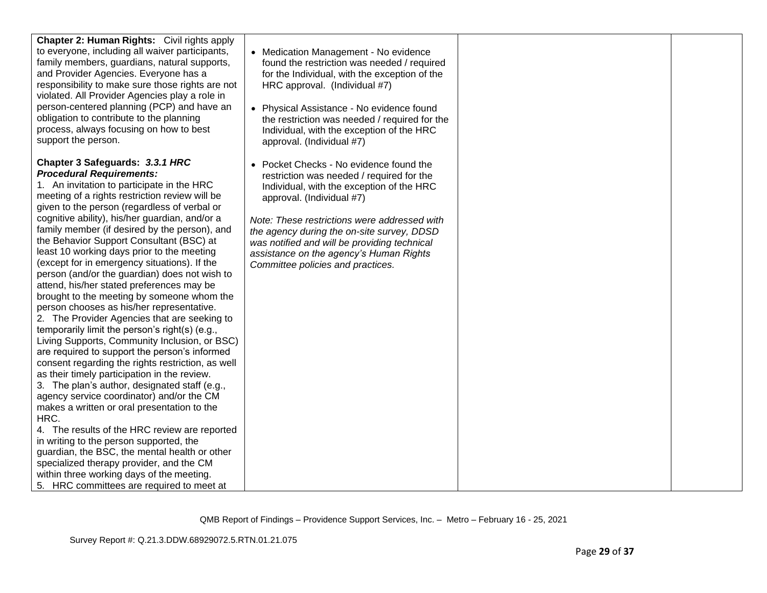| Chapter 2: Human Rights: Civil rights apply<br>to everyone, including all waiver participants,<br>family members, guardians, natural supports,<br>and Provider Agencies. Everyone has a<br>responsibility to make sure those rights are not<br>violated. All Provider Agencies play a role in<br>person-centered planning (PCP) and have an<br>obligation to contribute to the planning<br>process, always focusing on how to best<br>support the person.                                                                                                                                                                                                                                                                                                                                                                                                                                                                                                                                                                                                                                                                                                                                                                                                                                                                                                                                                 | • Medication Management - No evidence<br>found the restriction was needed / required<br>for the Individual, with the exception of the<br>HRC approval. (Individual #7)<br>• Physical Assistance - No evidence found<br>the restriction was needed / required for the<br>Individual, with the exception of the HRC<br>approval. (Individual #7)                                               |  |
|-----------------------------------------------------------------------------------------------------------------------------------------------------------------------------------------------------------------------------------------------------------------------------------------------------------------------------------------------------------------------------------------------------------------------------------------------------------------------------------------------------------------------------------------------------------------------------------------------------------------------------------------------------------------------------------------------------------------------------------------------------------------------------------------------------------------------------------------------------------------------------------------------------------------------------------------------------------------------------------------------------------------------------------------------------------------------------------------------------------------------------------------------------------------------------------------------------------------------------------------------------------------------------------------------------------------------------------------------------------------------------------------------------------|----------------------------------------------------------------------------------------------------------------------------------------------------------------------------------------------------------------------------------------------------------------------------------------------------------------------------------------------------------------------------------------------|--|
| Chapter 3 Safeguards: 3.3.1 HRC<br><b>Procedural Requirements:</b><br>1. An invitation to participate in the HRC<br>meeting of a rights restriction review will be<br>given to the person (regardless of verbal or<br>cognitive ability), his/her guardian, and/or a<br>family member (if desired by the person), and<br>the Behavior Support Consultant (BSC) at<br>least 10 working days prior to the meeting<br>(except for in emergency situations). If the<br>person (and/or the guardian) does not wish to<br>attend, his/her stated preferences may be<br>brought to the meeting by someone whom the<br>person chooses as his/her representative.<br>2. The Provider Agencies that are seeking to<br>temporarily limit the person's right(s) (e.g.,<br>Living Supports, Community Inclusion, or BSC)<br>are required to support the person's informed<br>consent regarding the rights restriction, as well<br>as their timely participation in the review.<br>3. The plan's author, designated staff (e.g.,<br>agency service coordinator) and/or the CM<br>makes a written or oral presentation to the<br>HRC.<br>4. The results of the HRC review are reported<br>in writing to the person supported, the<br>guardian, the BSC, the mental health or other<br>specialized therapy provider, and the CM<br>within three working days of the meeting.<br>5. HRC committees are required to meet at | • Pocket Checks - No evidence found the<br>restriction was needed / required for the<br>Individual, with the exception of the HRC<br>approval. (Individual #7)<br>Note: These restrictions were addressed with<br>the agency during the on-site survey, DDSD<br>was notified and will be providing technical<br>assistance on the agency's Human Rights<br>Committee policies and practices. |  |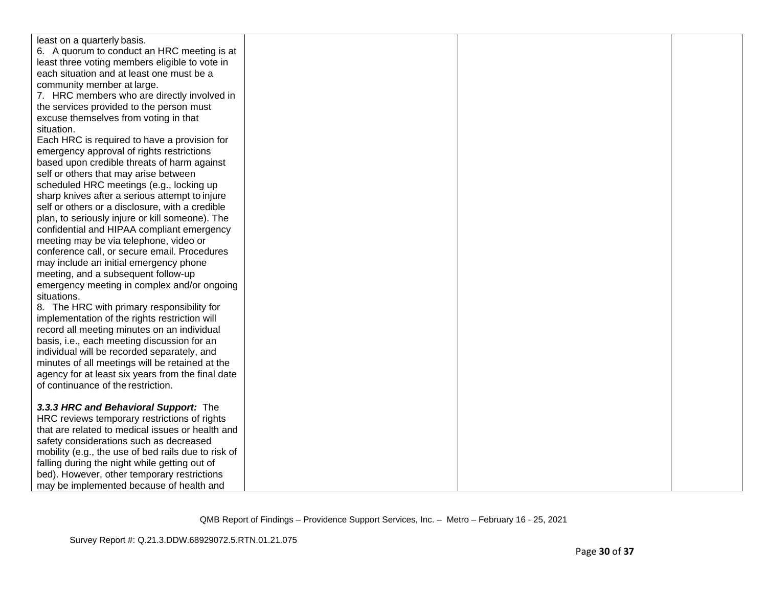| least on a quarterly basis.                         |  |  |
|-----------------------------------------------------|--|--|
| 6. A quorum to conduct an HRC meeting is at         |  |  |
| least three voting members eligible to vote in      |  |  |
| each situation and at least one must be a           |  |  |
| community member at large.                          |  |  |
| 7. HRC members who are directly involved in         |  |  |
| the services provided to the person must            |  |  |
| excuse themselves from voting in that               |  |  |
| situation.                                          |  |  |
| Each HRC is required to have a provision for        |  |  |
| emergency approval of rights restrictions           |  |  |
| based upon credible threats of harm against         |  |  |
| self or others that may arise between               |  |  |
| scheduled HRC meetings (e.g., locking up            |  |  |
| sharp knives after a serious attempt to injure      |  |  |
| self or others or a disclosure, with a credible     |  |  |
| plan, to seriously injure or kill someone). The     |  |  |
| confidential and HIPAA compliant emergency          |  |  |
| meeting may be via telephone, video or              |  |  |
| conference call, or secure email. Procedures        |  |  |
| may include an initial emergency phone              |  |  |
| meeting, and a subsequent follow-up                 |  |  |
| emergency meeting in complex and/or ongoing         |  |  |
| situations.                                         |  |  |
| 8. The HRC with primary responsibility for          |  |  |
| implementation of the rights restriction will       |  |  |
| record all meeting minutes on an individual         |  |  |
| basis, i.e., each meeting discussion for an         |  |  |
| individual will be recorded separately, and         |  |  |
| minutes of all meetings will be retained at the     |  |  |
| agency for at least six years from the final date   |  |  |
| of continuance of the restriction.                  |  |  |
|                                                     |  |  |
| 3.3.3 HRC and Behavioral Support: The               |  |  |
| HRC reviews temporary restrictions of rights        |  |  |
| that are related to medical issues or health and    |  |  |
| safety considerations such as decreased             |  |  |
| mobility (e.g., the use of bed rails due to risk of |  |  |
| falling during the night while getting out of       |  |  |
| bed). However, other temporary restrictions         |  |  |
| may be implemented because of health and            |  |  |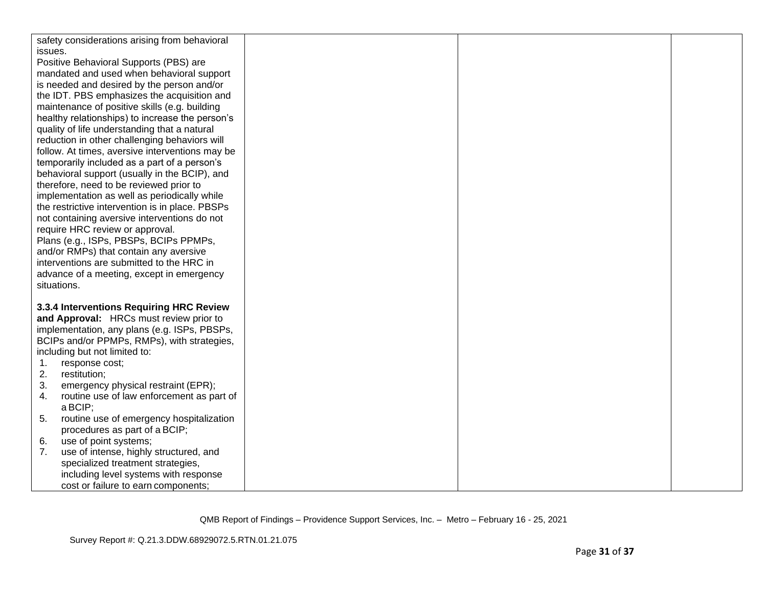| safety considerations arising from behavioral   |  |  |
|-------------------------------------------------|--|--|
| issues.                                         |  |  |
| Positive Behavioral Supports (PBS) are          |  |  |
| mandated and used when behavioral support       |  |  |
| is needed and desired by the person and/or      |  |  |
| the IDT. PBS emphasizes the acquisition and     |  |  |
| maintenance of positive skills (e.g. building   |  |  |
| healthy relationships) to increase the person's |  |  |
| quality of life understanding that a natural    |  |  |
| reduction in other challenging behaviors will   |  |  |
| follow. At times, aversive interventions may be |  |  |
| temporarily included as a part of a person's    |  |  |
| behavioral support (usually in the BCIP), and   |  |  |
| therefore, need to be reviewed prior to         |  |  |
| implementation as well as periodically while    |  |  |
| the restrictive intervention is in place. PBSPs |  |  |
| not containing aversive interventions do not    |  |  |
| require HRC review or approval.                 |  |  |
| Plans (e.g., ISPs, PBSPs, BCIPs PPMPs,          |  |  |
| and/or RMPs) that contain any aversive          |  |  |
| interventions are submitted to the HRC in       |  |  |
| advance of a meeting, except in emergency       |  |  |
| situations.                                     |  |  |
|                                                 |  |  |
| 3.3.4 Interventions Requiring HRC Review        |  |  |
| and Approval: HRCs must review prior to         |  |  |
| implementation, any plans (e.g. ISPs, PBSPs,    |  |  |
| BCIPs and/or PPMPs, RMPs), with strategies,     |  |  |
| including but not limited to:                   |  |  |
| response cost;<br>1.                            |  |  |
| 2.<br>restitution;                              |  |  |
| 3.<br>emergency physical restraint (EPR);       |  |  |
| 4.<br>routine use of law enforcement as part of |  |  |
| a BCIP;                                         |  |  |
| routine use of emergency hospitalization<br>5.  |  |  |
| procedures as part of a BCIP;                   |  |  |
| use of point systems;<br>6.                     |  |  |
| 7.<br>use of intense, highly structured, and    |  |  |
| specialized treatment strategies,               |  |  |
| including level systems with response           |  |  |
| cost or failure to earn components;             |  |  |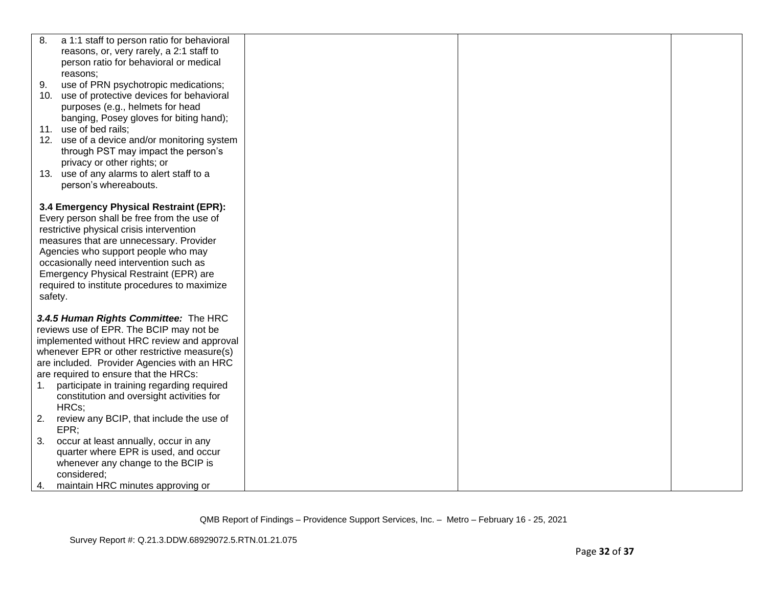| 8.             | a 1:1 staff to person ratio for behavioral                                                                                                                                                                                                                                                                                                                                                                             |  |  |
|----------------|------------------------------------------------------------------------------------------------------------------------------------------------------------------------------------------------------------------------------------------------------------------------------------------------------------------------------------------------------------------------------------------------------------------------|--|--|
|                | reasons, or, very rarely, a 2:1 staff to                                                                                                                                                                                                                                                                                                                                                                               |  |  |
|                | person ratio for behavioral or medical                                                                                                                                                                                                                                                                                                                                                                                 |  |  |
|                | reasons;                                                                                                                                                                                                                                                                                                                                                                                                               |  |  |
| 9.             | use of PRN psychotropic medications;                                                                                                                                                                                                                                                                                                                                                                                   |  |  |
| 10.            | use of protective devices for behavioral                                                                                                                                                                                                                                                                                                                                                                               |  |  |
|                | purposes (e.g., helmets for head                                                                                                                                                                                                                                                                                                                                                                                       |  |  |
|                | banging, Posey gloves for biting hand);                                                                                                                                                                                                                                                                                                                                                                                |  |  |
|                | 11. use of bed rails;                                                                                                                                                                                                                                                                                                                                                                                                  |  |  |
|                | 12. use of a device and/or monitoring system                                                                                                                                                                                                                                                                                                                                                                           |  |  |
|                | through PST may impact the person's                                                                                                                                                                                                                                                                                                                                                                                    |  |  |
|                | privacy or other rights; or                                                                                                                                                                                                                                                                                                                                                                                            |  |  |
|                | 13. use of any alarms to alert staff to a                                                                                                                                                                                                                                                                                                                                                                              |  |  |
|                | person's whereabouts.                                                                                                                                                                                                                                                                                                                                                                                                  |  |  |
|                |                                                                                                                                                                                                                                                                                                                                                                                                                        |  |  |
|                | 3.4 Emergency Physical Restraint (EPR):<br>Every person shall be free from the use of                                                                                                                                                                                                                                                                                                                                  |  |  |
|                | restrictive physical crisis intervention                                                                                                                                                                                                                                                                                                                                                                               |  |  |
|                | measures that are unnecessary. Provider                                                                                                                                                                                                                                                                                                                                                                                |  |  |
|                | Agencies who support people who may                                                                                                                                                                                                                                                                                                                                                                                    |  |  |
|                | occasionally need intervention such as                                                                                                                                                                                                                                                                                                                                                                                 |  |  |
|                | Emergency Physical Restraint (EPR) are                                                                                                                                                                                                                                                                                                                                                                                 |  |  |
|                | required to institute procedures to maximize                                                                                                                                                                                                                                                                                                                                                                           |  |  |
| safety.        |                                                                                                                                                                                                                                                                                                                                                                                                                        |  |  |
|                |                                                                                                                                                                                                                                                                                                                                                                                                                        |  |  |
|                | 3.4.5 Human Rights Committee: The HRC                                                                                                                                                                                                                                                                                                                                                                                  |  |  |
|                | reviews use of EPR. The BCIP may not be                                                                                                                                                                                                                                                                                                                                                                                |  |  |
|                | implemented without HRC review and approval                                                                                                                                                                                                                                                                                                                                                                            |  |  |
|                | whenever EPR or other restrictive measure(s)                                                                                                                                                                                                                                                                                                                                                                           |  |  |
|                |                                                                                                                                                                                                                                                                                                                                                                                                                        |  |  |
|                |                                                                                                                                                                                                                                                                                                                                                                                                                        |  |  |
|                |                                                                                                                                                                                                                                                                                                                                                                                                                        |  |  |
|                |                                                                                                                                                                                                                                                                                                                                                                                                                        |  |  |
|                |                                                                                                                                                                                                                                                                                                                                                                                                                        |  |  |
|                |                                                                                                                                                                                                                                                                                                                                                                                                                        |  |  |
|                |                                                                                                                                                                                                                                                                                                                                                                                                                        |  |  |
|                |                                                                                                                                                                                                                                                                                                                                                                                                                        |  |  |
|                |                                                                                                                                                                                                                                                                                                                                                                                                                        |  |  |
|                |                                                                                                                                                                                                                                                                                                                                                                                                                        |  |  |
|                |                                                                                                                                                                                                                                                                                                                                                                                                                        |  |  |
| 1.<br>2.<br>3. | are included. Provider Agencies with an HRC<br>are required to ensure that the HRCs:<br>participate in training regarding required<br>constitution and oversight activities for<br>HRCs:<br>review any BCIP, that include the use of<br>EPR<br>occur at least annually, occur in any<br>quarter where EPR is used, and occur<br>whenever any change to the BCIP is<br>considered;<br>maintain HRC minutes approving or |  |  |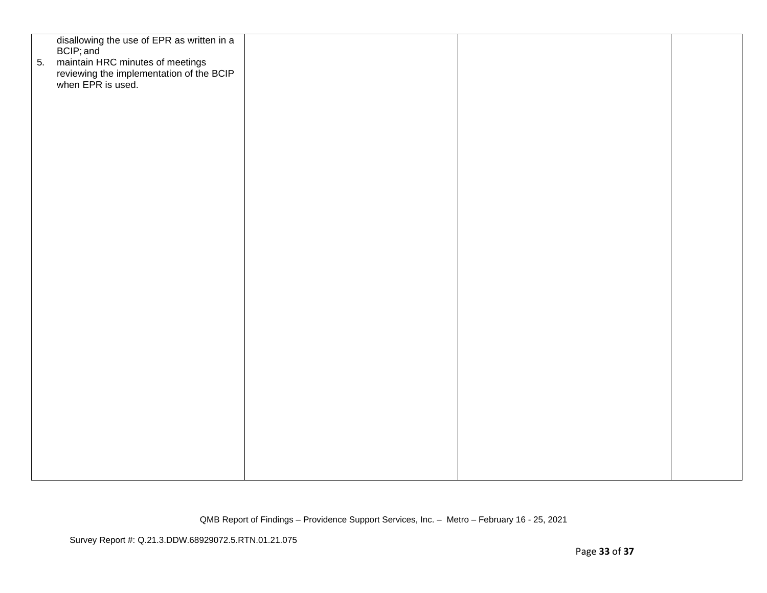| 5. | disallowing the use of EPR as written in a<br>BCIP; and<br>maintain HRC minutes of meetings<br>reviewing the implementation of the BCIP<br>when EPR is used. |  |  |
|----|--------------------------------------------------------------------------------------------------------------------------------------------------------------|--|--|
|    |                                                                                                                                                              |  |  |
|    |                                                                                                                                                              |  |  |
|    |                                                                                                                                                              |  |  |
|    |                                                                                                                                                              |  |  |
|    |                                                                                                                                                              |  |  |
|    |                                                                                                                                                              |  |  |
|    |                                                                                                                                                              |  |  |
|    |                                                                                                                                                              |  |  |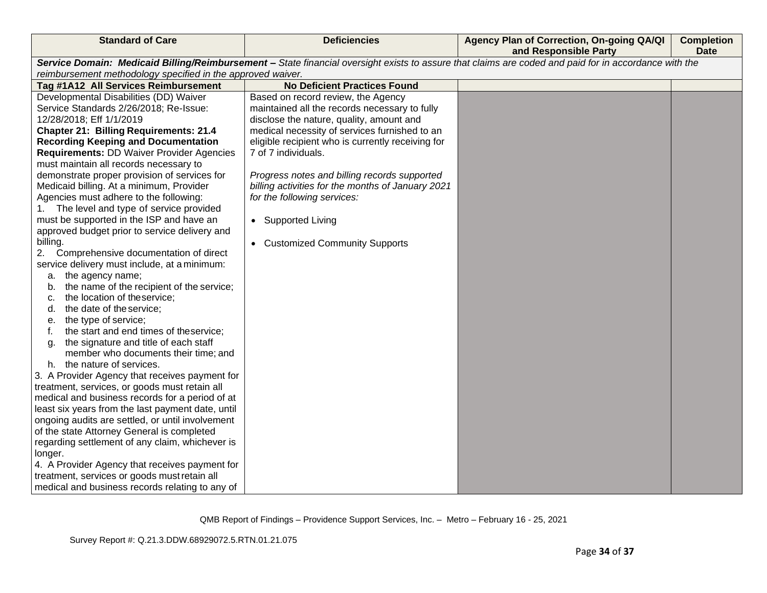| Service Domain: Medicaid Billing/Reimbursement - State financial oversight exists to assure that claims are coded and paid for in accordance with the<br>reimbursement methodology specified in the approved waiver.<br><b>No Deficient Practices Found</b><br>Tag #1A12 All Services Reimbursement<br>Developmental Disabilities (DD) Waiver<br>Based on record review, the Agency<br>Service Standards 2/26/2018; Re-Issue:<br>maintained all the records necessary to fully<br>12/28/2018; Eff 1/1/2019<br>disclose the nature, quality, amount and<br><b>Chapter 21: Billing Requirements: 21.4</b><br>medical necessity of services furnished to an<br><b>Recording Keeping and Documentation</b><br>eligible recipient who is currently receiving for<br>7 of 7 individuals.<br><b>Requirements: DD Waiver Provider Agencies</b><br>must maintain all records necessary to<br>demonstrate proper provision of services for<br>Progress notes and billing records supported<br>Medicaid billing. At a minimum, Provider<br>billing activities for the months of January 2021<br>Agencies must adhere to the following:<br>for the following services:<br>The level and type of service provided<br>1.<br>must be supported in the ISP and have an<br>• Supported Living<br>approved budget prior to service delivery and<br>billing.<br>• Customized Community Supports<br>Comprehensive documentation of direct<br>2.<br>service delivery must include, at a minimum:<br>a. the agency name;<br>the name of the recipient of the service;<br>b.<br>the location of the service;<br>c.<br>the date of the service;<br>d.<br>the type of service;<br>е.<br>the start and end times of theservice;<br>f.<br>the signature and title of each staff<br>a.<br>member who documents their time; and<br>h. the nature of services.<br>3. A Provider Agency that receives payment for<br>treatment, services, or goods must retain all<br>medical and business records for a period of at<br>least six years from the last payment date, until<br>ongoing audits are settled, or until involvement<br>of the state Attorney General is completed<br>regarding settlement of any claim, whichever is<br>longer.<br>4. A Provider Agency that receives payment for<br>treatment, services or goods must retain all<br>medical and business records relating to any of | <b>Standard of Care</b> | <b>Deficiencies</b> | Agency Plan of Correction, On-going QA/QI<br>and Responsible Party | <b>Completion</b><br><b>Date</b> |
|------------------------------------------------------------------------------------------------------------------------------------------------------------------------------------------------------------------------------------------------------------------------------------------------------------------------------------------------------------------------------------------------------------------------------------------------------------------------------------------------------------------------------------------------------------------------------------------------------------------------------------------------------------------------------------------------------------------------------------------------------------------------------------------------------------------------------------------------------------------------------------------------------------------------------------------------------------------------------------------------------------------------------------------------------------------------------------------------------------------------------------------------------------------------------------------------------------------------------------------------------------------------------------------------------------------------------------------------------------------------------------------------------------------------------------------------------------------------------------------------------------------------------------------------------------------------------------------------------------------------------------------------------------------------------------------------------------------------------------------------------------------------------------------------------------------------------------------------------------------------------------------------------------------------------------------------------------------------------------------------------------------------------------------------------------------------------------------------------------------------------------------------------------------------------------------------------------------------------------------------------------------------------------------------------------------------------------------------------------------|-------------------------|---------------------|--------------------------------------------------------------------|----------------------------------|
|                                                                                                                                                                                                                                                                                                                                                                                                                                                                                                                                                                                                                                                                                                                                                                                                                                                                                                                                                                                                                                                                                                                                                                                                                                                                                                                                                                                                                                                                                                                                                                                                                                                                                                                                                                                                                                                                                                                                                                                                                                                                                                                                                                                                                                                                                                                                                                  |                         |                     |                                                                    |                                  |
|                                                                                                                                                                                                                                                                                                                                                                                                                                                                                                                                                                                                                                                                                                                                                                                                                                                                                                                                                                                                                                                                                                                                                                                                                                                                                                                                                                                                                                                                                                                                                                                                                                                                                                                                                                                                                                                                                                                                                                                                                                                                                                                                                                                                                                                                                                                                                                  |                         |                     |                                                                    |                                  |
|                                                                                                                                                                                                                                                                                                                                                                                                                                                                                                                                                                                                                                                                                                                                                                                                                                                                                                                                                                                                                                                                                                                                                                                                                                                                                                                                                                                                                                                                                                                                                                                                                                                                                                                                                                                                                                                                                                                                                                                                                                                                                                                                                                                                                                                                                                                                                                  |                         |                     |                                                                    |                                  |
|                                                                                                                                                                                                                                                                                                                                                                                                                                                                                                                                                                                                                                                                                                                                                                                                                                                                                                                                                                                                                                                                                                                                                                                                                                                                                                                                                                                                                                                                                                                                                                                                                                                                                                                                                                                                                                                                                                                                                                                                                                                                                                                                                                                                                                                                                                                                                                  |                         |                     |                                                                    |                                  |
|                                                                                                                                                                                                                                                                                                                                                                                                                                                                                                                                                                                                                                                                                                                                                                                                                                                                                                                                                                                                                                                                                                                                                                                                                                                                                                                                                                                                                                                                                                                                                                                                                                                                                                                                                                                                                                                                                                                                                                                                                                                                                                                                                                                                                                                                                                                                                                  |                         |                     |                                                                    |                                  |
|                                                                                                                                                                                                                                                                                                                                                                                                                                                                                                                                                                                                                                                                                                                                                                                                                                                                                                                                                                                                                                                                                                                                                                                                                                                                                                                                                                                                                                                                                                                                                                                                                                                                                                                                                                                                                                                                                                                                                                                                                                                                                                                                                                                                                                                                                                                                                                  |                         |                     |                                                                    |                                  |
|                                                                                                                                                                                                                                                                                                                                                                                                                                                                                                                                                                                                                                                                                                                                                                                                                                                                                                                                                                                                                                                                                                                                                                                                                                                                                                                                                                                                                                                                                                                                                                                                                                                                                                                                                                                                                                                                                                                                                                                                                                                                                                                                                                                                                                                                                                                                                                  |                         |                     |                                                                    |                                  |
|                                                                                                                                                                                                                                                                                                                                                                                                                                                                                                                                                                                                                                                                                                                                                                                                                                                                                                                                                                                                                                                                                                                                                                                                                                                                                                                                                                                                                                                                                                                                                                                                                                                                                                                                                                                                                                                                                                                                                                                                                                                                                                                                                                                                                                                                                                                                                                  |                         |                     |                                                                    |                                  |
|                                                                                                                                                                                                                                                                                                                                                                                                                                                                                                                                                                                                                                                                                                                                                                                                                                                                                                                                                                                                                                                                                                                                                                                                                                                                                                                                                                                                                                                                                                                                                                                                                                                                                                                                                                                                                                                                                                                                                                                                                                                                                                                                                                                                                                                                                                                                                                  |                         |                     |                                                                    |                                  |
|                                                                                                                                                                                                                                                                                                                                                                                                                                                                                                                                                                                                                                                                                                                                                                                                                                                                                                                                                                                                                                                                                                                                                                                                                                                                                                                                                                                                                                                                                                                                                                                                                                                                                                                                                                                                                                                                                                                                                                                                                                                                                                                                                                                                                                                                                                                                                                  |                         |                     |                                                                    |                                  |
|                                                                                                                                                                                                                                                                                                                                                                                                                                                                                                                                                                                                                                                                                                                                                                                                                                                                                                                                                                                                                                                                                                                                                                                                                                                                                                                                                                                                                                                                                                                                                                                                                                                                                                                                                                                                                                                                                                                                                                                                                                                                                                                                                                                                                                                                                                                                                                  |                         |                     |                                                                    |                                  |
|                                                                                                                                                                                                                                                                                                                                                                                                                                                                                                                                                                                                                                                                                                                                                                                                                                                                                                                                                                                                                                                                                                                                                                                                                                                                                                                                                                                                                                                                                                                                                                                                                                                                                                                                                                                                                                                                                                                                                                                                                                                                                                                                                                                                                                                                                                                                                                  |                         |                     |                                                                    |                                  |
|                                                                                                                                                                                                                                                                                                                                                                                                                                                                                                                                                                                                                                                                                                                                                                                                                                                                                                                                                                                                                                                                                                                                                                                                                                                                                                                                                                                                                                                                                                                                                                                                                                                                                                                                                                                                                                                                                                                                                                                                                                                                                                                                                                                                                                                                                                                                                                  |                         |                     |                                                                    |                                  |
|                                                                                                                                                                                                                                                                                                                                                                                                                                                                                                                                                                                                                                                                                                                                                                                                                                                                                                                                                                                                                                                                                                                                                                                                                                                                                                                                                                                                                                                                                                                                                                                                                                                                                                                                                                                                                                                                                                                                                                                                                                                                                                                                                                                                                                                                                                                                                                  |                         |                     |                                                                    |                                  |
|                                                                                                                                                                                                                                                                                                                                                                                                                                                                                                                                                                                                                                                                                                                                                                                                                                                                                                                                                                                                                                                                                                                                                                                                                                                                                                                                                                                                                                                                                                                                                                                                                                                                                                                                                                                                                                                                                                                                                                                                                                                                                                                                                                                                                                                                                                                                                                  |                         |                     |                                                                    |                                  |
|                                                                                                                                                                                                                                                                                                                                                                                                                                                                                                                                                                                                                                                                                                                                                                                                                                                                                                                                                                                                                                                                                                                                                                                                                                                                                                                                                                                                                                                                                                                                                                                                                                                                                                                                                                                                                                                                                                                                                                                                                                                                                                                                                                                                                                                                                                                                                                  |                         |                     |                                                                    |                                  |
|                                                                                                                                                                                                                                                                                                                                                                                                                                                                                                                                                                                                                                                                                                                                                                                                                                                                                                                                                                                                                                                                                                                                                                                                                                                                                                                                                                                                                                                                                                                                                                                                                                                                                                                                                                                                                                                                                                                                                                                                                                                                                                                                                                                                                                                                                                                                                                  |                         |                     |                                                                    |                                  |
|                                                                                                                                                                                                                                                                                                                                                                                                                                                                                                                                                                                                                                                                                                                                                                                                                                                                                                                                                                                                                                                                                                                                                                                                                                                                                                                                                                                                                                                                                                                                                                                                                                                                                                                                                                                                                                                                                                                                                                                                                                                                                                                                                                                                                                                                                                                                                                  |                         |                     |                                                                    |                                  |
|                                                                                                                                                                                                                                                                                                                                                                                                                                                                                                                                                                                                                                                                                                                                                                                                                                                                                                                                                                                                                                                                                                                                                                                                                                                                                                                                                                                                                                                                                                                                                                                                                                                                                                                                                                                                                                                                                                                                                                                                                                                                                                                                                                                                                                                                                                                                                                  |                         |                     |                                                                    |                                  |
|                                                                                                                                                                                                                                                                                                                                                                                                                                                                                                                                                                                                                                                                                                                                                                                                                                                                                                                                                                                                                                                                                                                                                                                                                                                                                                                                                                                                                                                                                                                                                                                                                                                                                                                                                                                                                                                                                                                                                                                                                                                                                                                                                                                                                                                                                                                                                                  |                         |                     |                                                                    |                                  |
|                                                                                                                                                                                                                                                                                                                                                                                                                                                                                                                                                                                                                                                                                                                                                                                                                                                                                                                                                                                                                                                                                                                                                                                                                                                                                                                                                                                                                                                                                                                                                                                                                                                                                                                                                                                                                                                                                                                                                                                                                                                                                                                                                                                                                                                                                                                                                                  |                         |                     |                                                                    |                                  |
|                                                                                                                                                                                                                                                                                                                                                                                                                                                                                                                                                                                                                                                                                                                                                                                                                                                                                                                                                                                                                                                                                                                                                                                                                                                                                                                                                                                                                                                                                                                                                                                                                                                                                                                                                                                                                                                                                                                                                                                                                                                                                                                                                                                                                                                                                                                                                                  |                         |                     |                                                                    |                                  |
|                                                                                                                                                                                                                                                                                                                                                                                                                                                                                                                                                                                                                                                                                                                                                                                                                                                                                                                                                                                                                                                                                                                                                                                                                                                                                                                                                                                                                                                                                                                                                                                                                                                                                                                                                                                                                                                                                                                                                                                                                                                                                                                                                                                                                                                                                                                                                                  |                         |                     |                                                                    |                                  |
|                                                                                                                                                                                                                                                                                                                                                                                                                                                                                                                                                                                                                                                                                                                                                                                                                                                                                                                                                                                                                                                                                                                                                                                                                                                                                                                                                                                                                                                                                                                                                                                                                                                                                                                                                                                                                                                                                                                                                                                                                                                                                                                                                                                                                                                                                                                                                                  |                         |                     |                                                                    |                                  |
|                                                                                                                                                                                                                                                                                                                                                                                                                                                                                                                                                                                                                                                                                                                                                                                                                                                                                                                                                                                                                                                                                                                                                                                                                                                                                                                                                                                                                                                                                                                                                                                                                                                                                                                                                                                                                                                                                                                                                                                                                                                                                                                                                                                                                                                                                                                                                                  |                         |                     |                                                                    |                                  |
|                                                                                                                                                                                                                                                                                                                                                                                                                                                                                                                                                                                                                                                                                                                                                                                                                                                                                                                                                                                                                                                                                                                                                                                                                                                                                                                                                                                                                                                                                                                                                                                                                                                                                                                                                                                                                                                                                                                                                                                                                                                                                                                                                                                                                                                                                                                                                                  |                         |                     |                                                                    |                                  |
|                                                                                                                                                                                                                                                                                                                                                                                                                                                                                                                                                                                                                                                                                                                                                                                                                                                                                                                                                                                                                                                                                                                                                                                                                                                                                                                                                                                                                                                                                                                                                                                                                                                                                                                                                                                                                                                                                                                                                                                                                                                                                                                                                                                                                                                                                                                                                                  |                         |                     |                                                                    |                                  |
|                                                                                                                                                                                                                                                                                                                                                                                                                                                                                                                                                                                                                                                                                                                                                                                                                                                                                                                                                                                                                                                                                                                                                                                                                                                                                                                                                                                                                                                                                                                                                                                                                                                                                                                                                                                                                                                                                                                                                                                                                                                                                                                                                                                                                                                                                                                                                                  |                         |                     |                                                                    |                                  |
|                                                                                                                                                                                                                                                                                                                                                                                                                                                                                                                                                                                                                                                                                                                                                                                                                                                                                                                                                                                                                                                                                                                                                                                                                                                                                                                                                                                                                                                                                                                                                                                                                                                                                                                                                                                                                                                                                                                                                                                                                                                                                                                                                                                                                                                                                                                                                                  |                         |                     |                                                                    |                                  |
|                                                                                                                                                                                                                                                                                                                                                                                                                                                                                                                                                                                                                                                                                                                                                                                                                                                                                                                                                                                                                                                                                                                                                                                                                                                                                                                                                                                                                                                                                                                                                                                                                                                                                                                                                                                                                                                                                                                                                                                                                                                                                                                                                                                                                                                                                                                                                                  |                         |                     |                                                                    |                                  |
|                                                                                                                                                                                                                                                                                                                                                                                                                                                                                                                                                                                                                                                                                                                                                                                                                                                                                                                                                                                                                                                                                                                                                                                                                                                                                                                                                                                                                                                                                                                                                                                                                                                                                                                                                                                                                                                                                                                                                                                                                                                                                                                                                                                                                                                                                                                                                                  |                         |                     |                                                                    |                                  |
|                                                                                                                                                                                                                                                                                                                                                                                                                                                                                                                                                                                                                                                                                                                                                                                                                                                                                                                                                                                                                                                                                                                                                                                                                                                                                                                                                                                                                                                                                                                                                                                                                                                                                                                                                                                                                                                                                                                                                                                                                                                                                                                                                                                                                                                                                                                                                                  |                         |                     |                                                                    |                                  |
|                                                                                                                                                                                                                                                                                                                                                                                                                                                                                                                                                                                                                                                                                                                                                                                                                                                                                                                                                                                                                                                                                                                                                                                                                                                                                                                                                                                                                                                                                                                                                                                                                                                                                                                                                                                                                                                                                                                                                                                                                                                                                                                                                                                                                                                                                                                                                                  |                         |                     |                                                                    |                                  |
|                                                                                                                                                                                                                                                                                                                                                                                                                                                                                                                                                                                                                                                                                                                                                                                                                                                                                                                                                                                                                                                                                                                                                                                                                                                                                                                                                                                                                                                                                                                                                                                                                                                                                                                                                                                                                                                                                                                                                                                                                                                                                                                                                                                                                                                                                                                                                                  |                         |                     |                                                                    |                                  |
|                                                                                                                                                                                                                                                                                                                                                                                                                                                                                                                                                                                                                                                                                                                                                                                                                                                                                                                                                                                                                                                                                                                                                                                                                                                                                                                                                                                                                                                                                                                                                                                                                                                                                                                                                                                                                                                                                                                                                                                                                                                                                                                                                                                                                                                                                                                                                                  |                         |                     |                                                                    |                                  |
|                                                                                                                                                                                                                                                                                                                                                                                                                                                                                                                                                                                                                                                                                                                                                                                                                                                                                                                                                                                                                                                                                                                                                                                                                                                                                                                                                                                                                                                                                                                                                                                                                                                                                                                                                                                                                                                                                                                                                                                                                                                                                                                                                                                                                                                                                                                                                                  |                         |                     |                                                                    |                                  |
|                                                                                                                                                                                                                                                                                                                                                                                                                                                                                                                                                                                                                                                                                                                                                                                                                                                                                                                                                                                                                                                                                                                                                                                                                                                                                                                                                                                                                                                                                                                                                                                                                                                                                                                                                                                                                                                                                                                                                                                                                                                                                                                                                                                                                                                                                                                                                                  |                         |                     |                                                                    |                                  |
|                                                                                                                                                                                                                                                                                                                                                                                                                                                                                                                                                                                                                                                                                                                                                                                                                                                                                                                                                                                                                                                                                                                                                                                                                                                                                                                                                                                                                                                                                                                                                                                                                                                                                                                                                                                                                                                                                                                                                                                                                                                                                                                                                                                                                                                                                                                                                                  |                         |                     |                                                                    |                                  |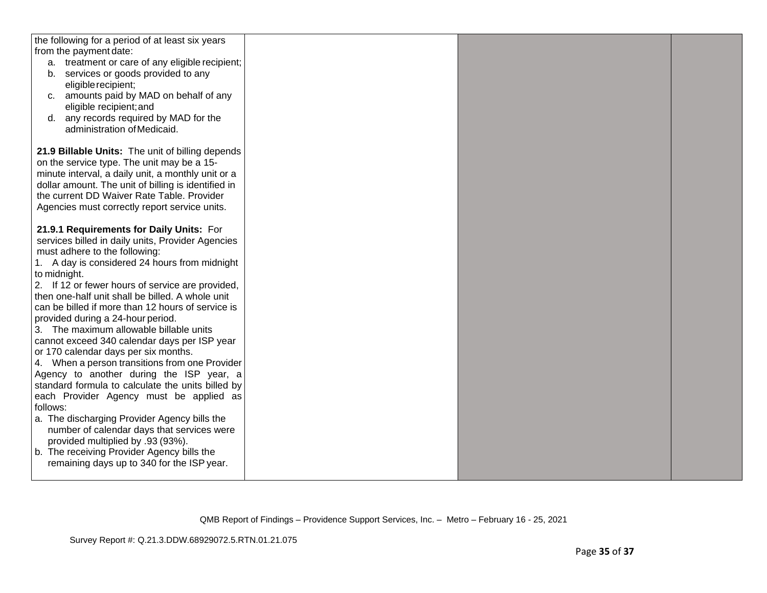| the following for a period of at least six years<br>from the payment date:<br>a. treatment or care of any eligible recipient;<br>b. services or goods provided to any<br>eligible recipient;<br>c. amounts paid by MAD on behalf of any<br>eligible recipient; and<br>any records required by MAD for the<br>d.<br>administration of Medicaid. |  |  |
|------------------------------------------------------------------------------------------------------------------------------------------------------------------------------------------------------------------------------------------------------------------------------------------------------------------------------------------------|--|--|
| 21.9 Billable Units: The unit of billing depends<br>on the service type. The unit may be a 15-<br>minute interval, a daily unit, a monthly unit or a<br>dollar amount. The unit of billing is identified in<br>the current DD Waiver Rate Table. Provider<br>Agencies must correctly report service units.                                     |  |  |
| 21.9.1 Requirements for Daily Units: For<br>services billed in daily units, Provider Agencies<br>must adhere to the following:<br>1. A day is considered 24 hours from midnight<br>to midnight.<br>2. If 12 or fewer hours of service are provided,<br>then one-half unit shall be billed. A whole unit                                        |  |  |
| can be billed if more than 12 hours of service is<br>provided during a 24-hour period.<br>3. The maximum allowable billable units<br>cannot exceed 340 calendar days per ISP year<br>or 170 calendar days per six months.<br>4. When a person transitions from one Provider<br>Agency to another during the ISP year, a                        |  |  |
| standard formula to calculate the units billed by<br>each Provider Agency must be applied as<br>follows:<br>a. The discharging Provider Agency bills the<br>number of calendar days that services were<br>provided multiplied by .93 (93%).<br>b. The receiving Provider Agency bills the                                                      |  |  |
| remaining days up to 340 for the ISP year.                                                                                                                                                                                                                                                                                                     |  |  |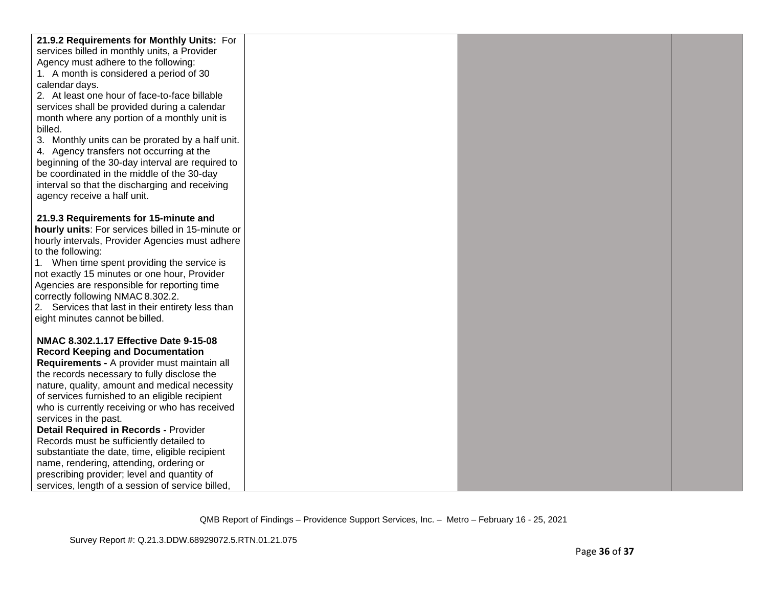| 21.9.2 Requirements for Monthly Units: For                       |  |  |
|------------------------------------------------------------------|--|--|
| services billed in monthly units, a Provider                     |  |  |
| Agency must adhere to the following:                             |  |  |
| 1. A month is considered a period of 30                          |  |  |
| calendar days.                                                   |  |  |
| 2. At least one hour of face-to-face billable                    |  |  |
|                                                                  |  |  |
| services shall be provided during a calendar                     |  |  |
| month where any portion of a monthly unit is                     |  |  |
| billed.                                                          |  |  |
| 3. Monthly units can be prorated by a half unit.                 |  |  |
| 4. Agency transfers not occurring at the                         |  |  |
| beginning of the 30-day interval are required to                 |  |  |
| be coordinated in the middle of the 30-day                       |  |  |
| interval so that the discharging and receiving                   |  |  |
| agency receive a half unit.                                      |  |  |
|                                                                  |  |  |
| 21.9.3 Requirements for 15-minute and                            |  |  |
| hourly units: For services billed in 15-minute or                |  |  |
| hourly intervals, Provider Agencies must adhere                  |  |  |
| to the following:<br>1. When time spent providing the service is |  |  |
| not exactly 15 minutes or one hour, Provider                     |  |  |
| Agencies are responsible for reporting time                      |  |  |
| correctly following NMAC 8.302.2.                                |  |  |
| 2. Services that last in their entirety less than                |  |  |
| eight minutes cannot be billed.                                  |  |  |
|                                                                  |  |  |
| NMAC 8.302.1.17 Effective Date 9-15-08                           |  |  |
| <b>Record Keeping and Documentation</b>                          |  |  |
| Requirements - A provider must maintain all                      |  |  |
| the records necessary to fully disclose the                      |  |  |
| nature, quality, amount and medical necessity                    |  |  |
| of services furnished to an eligible recipient                   |  |  |
| who is currently receiving or who has received                   |  |  |
| services in the past.                                            |  |  |
| <b>Detail Required in Records - Provider</b>                     |  |  |
| Records must be sufficiently detailed to                         |  |  |
| substantiate the date, time, eligible recipient                  |  |  |
| name, rendering, attending, ordering or                          |  |  |
| prescribing provider; level and quantity of                      |  |  |
| services, length of a session of service billed.                 |  |  |
|                                                                  |  |  |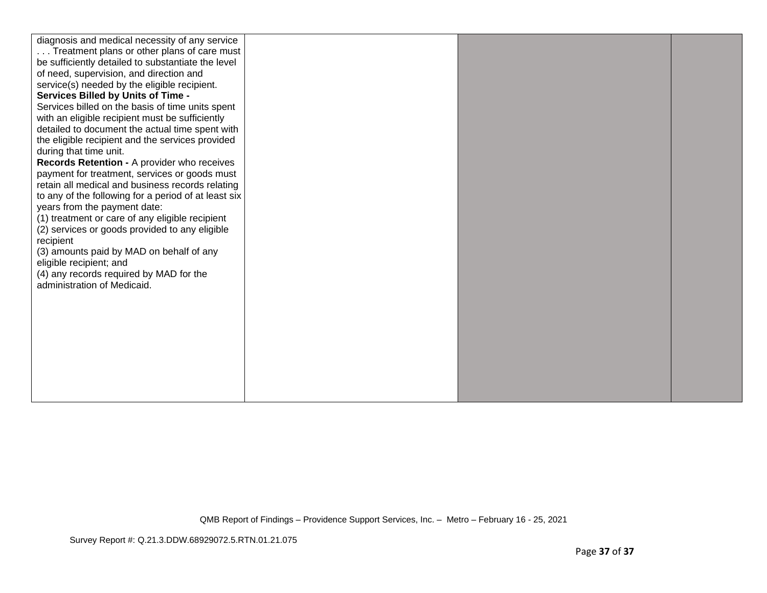| diagnosis and medical necessity of any service<br>Treatment plans or other plans of care must<br>be sufficiently detailed to substantiate the level<br>of need, supervision, and direction and<br>service(s) needed by the eligible recipient.<br>Services Billed by Units of Time -<br>Services billed on the basis of time units spent<br>with an eligible recipient must be sufficiently<br>detailed to document the actual time spent with<br>the eligible recipient and the services provided<br>during that time unit.<br>Records Retention - A provider who receives<br>payment for treatment, services or goods must<br>retain all medical and business records relating<br>to any of the following for a period of at least six<br>years from the payment date:<br>(1) treatment or care of any eligible recipient<br>(2) services or goods provided to any eligible<br>recipient<br>(3) amounts paid by MAD on behalf of any<br>eligible recipient; and<br>(4) any records required by MAD for the<br>administration of Medicaid. |  |  |
|---------------------------------------------------------------------------------------------------------------------------------------------------------------------------------------------------------------------------------------------------------------------------------------------------------------------------------------------------------------------------------------------------------------------------------------------------------------------------------------------------------------------------------------------------------------------------------------------------------------------------------------------------------------------------------------------------------------------------------------------------------------------------------------------------------------------------------------------------------------------------------------------------------------------------------------------------------------------------------------------------------------------------------------------|--|--|
|                                                                                                                                                                                                                                                                                                                                                                                                                                                                                                                                                                                                                                                                                                                                                                                                                                                                                                                                                                                                                                             |  |  |